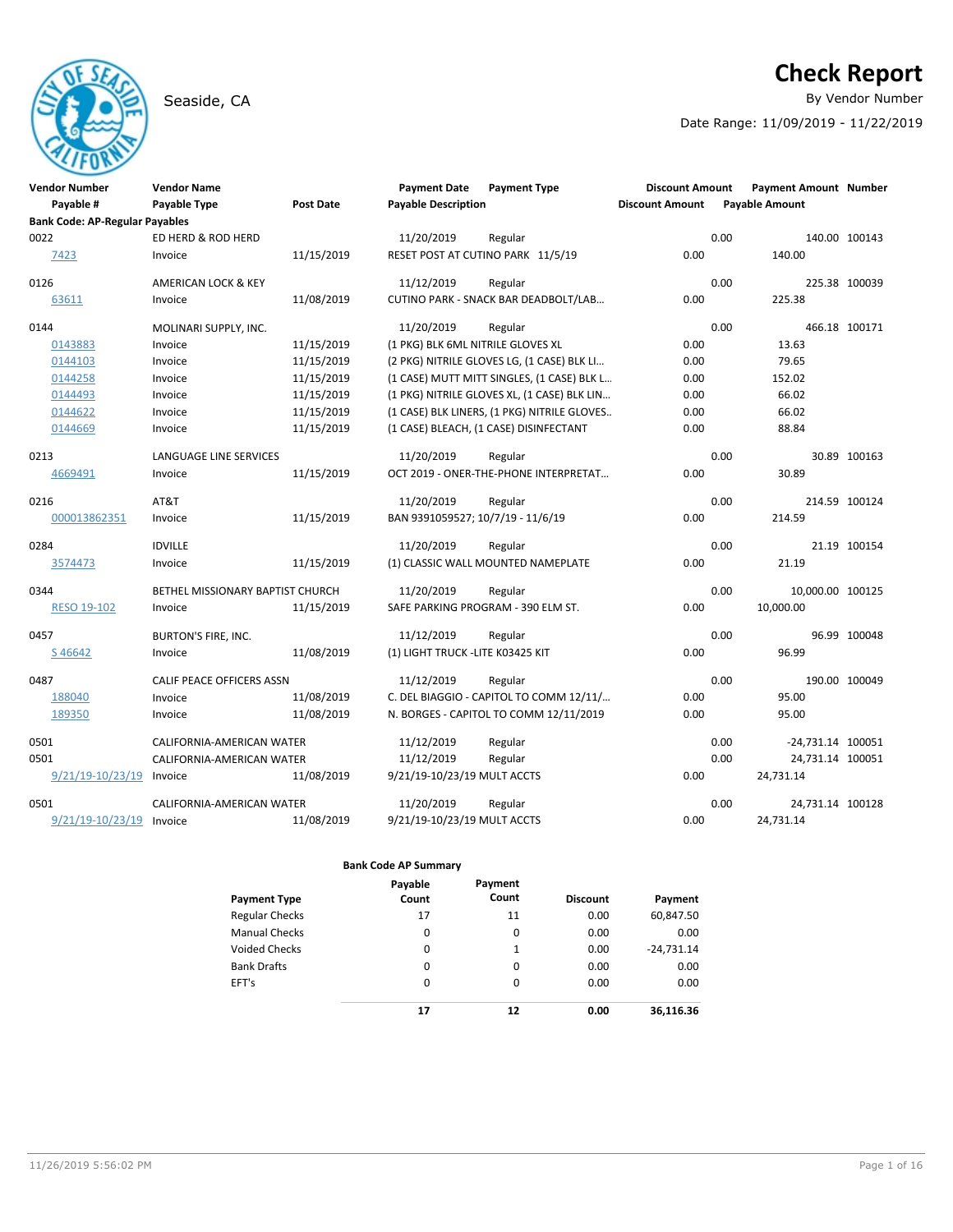# **Check Report**

Seaside, CA **By Vendor Number** 

Date Range: 11/09/2019 - 11/22/2019

| <b>Vendor Number</b>                  | <b>Vendor Name</b>               |                  | <b>Payment Date</b>               | <b>Payment Type</b>                         | <b>Discount Amount</b> |      | <b>Payment Amount Number</b> |               |
|---------------------------------------|----------------------------------|------------------|-----------------------------------|---------------------------------------------|------------------------|------|------------------------------|---------------|
| Payable #                             | Payable Type                     | <b>Post Date</b> | <b>Payable Description</b>        |                                             | <b>Discount Amount</b> |      | <b>Payable Amount</b>        |               |
| <b>Bank Code: AP-Regular Payables</b> |                                  |                  |                                   |                                             |                        |      |                              |               |
| 0022                                  | ED HERD & ROD HERD               |                  | 11/20/2019                        | Regular                                     |                        | 0.00 |                              | 140.00 100143 |
| 7423                                  | Invoice                          | 11/15/2019       |                                   | RESET POST AT CUTINO PARK 11/5/19           | 0.00                   |      | 140.00                       |               |
| 0126                                  | AMERICAN LOCK & KEY              |                  | 11/12/2019                        | Regular                                     |                        | 0.00 |                              | 225.38 100039 |
| 63611                                 | Invoice                          | 11/08/2019       |                                   | CUTINO PARK - SNACK BAR DEADBOLT/LAB        | 0.00                   |      | 225.38                       |               |
| 0144                                  | MOLINARI SUPPLY, INC.            |                  | 11/20/2019                        | Regular                                     |                        | 0.00 |                              | 466.18 100171 |
| 0143883                               | Invoice                          | 11/15/2019       | (1 PKG) BLK 6ML NITRILE GLOVES XL |                                             | 0.00                   |      | 13.63                        |               |
| 0144103                               | Invoice                          | 11/15/2019       |                                   | (2 PKG) NITRILE GLOVES LG, (1 CASE) BLK LI  | 0.00                   |      | 79.65                        |               |
| 0144258                               | Invoice                          | 11/15/2019       |                                   | (1 CASE) MUTT MITT SINGLES, (1 CASE) BLK L  | 0.00                   |      | 152.02                       |               |
| 0144493                               | Invoice                          | 11/15/2019       |                                   | (1 PKG) NITRILE GLOVES XL, (1 CASE) BLK LIN | 0.00                   |      | 66.02                        |               |
| 0144622                               | Invoice                          | 11/15/2019       |                                   | (1 CASE) BLK LINERS, (1 PKG) NITRILE GLOVES | 0.00                   |      | 66.02                        |               |
| 0144669                               | Invoice                          | 11/15/2019       |                                   | (1 CASE) BLEACH, (1 CASE) DISINFECTANT      | 0.00                   |      | 88.84                        |               |
| 0213                                  | LANGUAGE LINE SERVICES           |                  | 11/20/2019                        | Regular                                     |                        | 0.00 |                              | 30.89 100163  |
| 4669491                               | Invoice                          | 11/15/2019       |                                   | OCT 2019 - ONER-THE-PHONE INTERPRETAT       | 0.00                   |      | 30.89                        |               |
| 0216                                  | AT&T                             |                  | 11/20/2019                        | Regular                                     |                        | 0.00 |                              | 214.59 100124 |
| 000013862351                          | Invoice                          | 11/15/2019       | BAN 9391059527; 10/7/19 - 11/6/19 |                                             | 0.00                   |      | 214.59                       |               |
| 0284                                  | <b>IDVILLE</b>                   |                  | 11/20/2019                        | Regular                                     |                        | 0.00 |                              | 21.19 100154  |
| 3574473                               | Invoice                          | 11/15/2019       |                                   | (1) CLASSIC WALL MOUNTED NAMEPLATE          | 0.00                   |      | 21.19                        |               |
| 0344                                  | BETHEL MISSIONARY BAPTIST CHURCH |                  | 11/20/2019                        | Regular                                     |                        | 0.00 | 10,000.00 100125             |               |
| <b>RESO 19-102</b>                    | Invoice                          | 11/15/2019       |                                   | SAFE PARKING PROGRAM - 390 ELM ST.          | 0.00                   |      | 10,000.00                    |               |
| 0457                                  | <b>BURTON'S FIRE, INC.</b>       |                  | 11/12/2019                        | Regular                                     |                        | 0.00 |                              | 96.99 100048  |
| S46642                                | Invoice                          | 11/08/2019       | (1) LIGHT TRUCK - LITE K03425 KIT |                                             | 0.00                   |      | 96.99                        |               |
| 0487                                  | CALIF PEACE OFFICERS ASSN        |                  | 11/12/2019                        | Regular                                     |                        | 0.00 |                              | 190.00 100049 |
| 188040                                | Invoice                          | 11/08/2019       |                                   | C. DEL BIAGGIO - CAPITOL TO COMM 12/11/     | 0.00                   |      | 95.00                        |               |
| 189350                                | Invoice                          | 11/08/2019       |                                   | N. BORGES - CAPITOL TO COMM 12/11/2019      | 0.00                   |      | 95.00                        |               |
| 0501                                  | CALIFORNIA-AMERICAN WATER        |                  | 11/12/2019                        | Regular                                     |                        | 0.00 | -24,731.14 100051            |               |
| 0501                                  | CALIFORNIA-AMERICAN WATER        |                  | 11/12/2019                        | Regular                                     |                        | 0.00 | 24,731.14 100051             |               |
| 9/21/19-10/23/19                      | Invoice                          | 11/08/2019       | 9/21/19-10/23/19 MULT ACCTS       |                                             | 0.00                   |      | 24,731.14                    |               |
| 0501                                  | CALIFORNIA-AMERICAN WATER        |                  | 11/20/2019                        | Regular                                     |                        | 0.00 | 24,731.14 100128             |               |
| $9/21/19 - 10/23/19$ Invoice          |                                  | 11/08/2019       | 9/21/19-10/23/19 MULT ACCTS       |                                             | 0.00                   |      | 24,731.14                    |               |

| Payment Type          | Payable<br>Count | Payment<br>Count | <b>Discount</b> | Payment      |
|-----------------------|------------------|------------------|-----------------|--------------|
| <b>Regular Checks</b> | 17               | 11               | 0.00            | 60,847.50    |
| <b>Manual Checks</b>  | 0                | 0                | 0.00            | 0.00         |
| Voided Checks         | 0                | 1                | 0.00            | $-24,731.14$ |
| <b>Bank Drafts</b>    | 0                | 0                | 0.00            | 0.00         |
| EFT's                 | 0                | $\Omega$         | 0.00            | 0.00         |
|                       | 17               | 12               | 0.00            | 36.116.36    |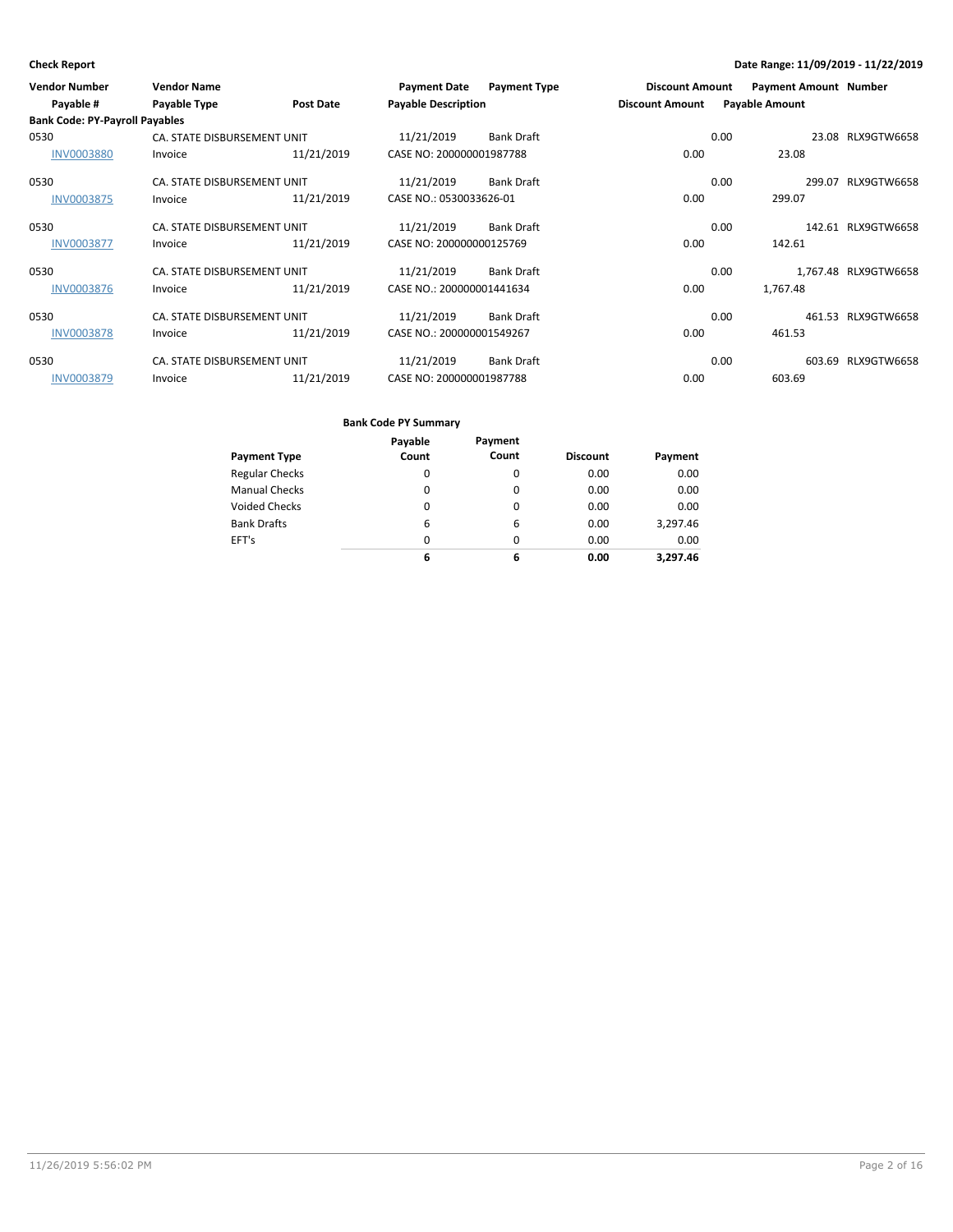| <b>Vendor Number</b>                  | <b>Vendor Name</b>          |                  | <b>Payment Date</b>        | <b>Payment Type</b> | <b>Discount Amount</b> |      | <b>Payment Amount Number</b> |                      |
|---------------------------------------|-----------------------------|------------------|----------------------------|---------------------|------------------------|------|------------------------------|----------------------|
| Payable #                             | Payable Type                | <b>Post Date</b> | <b>Payable Description</b> |                     | <b>Discount Amount</b> |      | <b>Payable Amount</b>        |                      |
| <b>Bank Code: PY-Payroll Payables</b> |                             |                  |                            |                     |                        |      |                              |                      |
| 0530                                  | CA. STATE DISBURSEMENT UNIT |                  | 11/21/2019                 | <b>Bank Draft</b>   |                        | 0.00 |                              | 23.08 RLX9GTW6658    |
| <b>INV0003880</b>                     | Invoice                     | 11/21/2019       | CASE NO: 200000001987788   |                     | 0.00                   |      | 23.08                        |                      |
| 0530                                  | CA. STATE DISBURSEMENT UNIT |                  | 11/21/2019                 | <b>Bank Draft</b>   |                        | 0.00 |                              | 299.07 RLX9GTW6658   |
| <b>INV0003875</b>                     | Invoice                     | 11/21/2019       | CASE NO.: 0530033626-01    |                     | 0.00                   |      | 299.07                       |                      |
| 0530                                  | CA. STATE DISBURSEMENT UNIT |                  | 11/21/2019                 | <b>Bank Draft</b>   |                        | 0.00 |                              | 142.61 RLX9GTW6658   |
| <b>INV0003877</b>                     | Invoice                     | 11/21/2019       | CASE NO: 200000000125769   |                     | 0.00                   |      | 142.61                       |                      |
| 0530                                  | CA. STATE DISBURSEMENT UNIT |                  | 11/21/2019                 | <b>Bank Draft</b>   |                        | 0.00 |                              | 1,767.48 RLX9GTW6658 |
| <b>INV0003876</b>                     | Invoice                     | 11/21/2019       | CASE NO.: 200000001441634  |                     | 0.00                   |      | 1,767.48                     |                      |
| 0530                                  | CA. STATE DISBURSEMENT UNIT |                  | 11/21/2019                 | <b>Bank Draft</b>   |                        | 0.00 |                              | 461.53 RLX9GTW6658   |
| <b>INV0003878</b>                     | Invoice                     | 11/21/2019       | CASE NO.: 200000001549267  |                     | 0.00                   |      | 461.53                       |                      |
| 0530                                  | CA. STATE DISBURSEMENT UNIT |                  | 11/21/2019                 | <b>Bank Draft</b>   |                        | 0.00 |                              | 603.69 RLX9GTW6658   |
| <b>INV0003879</b>                     | Invoice                     | 11/21/2019       | CASE NO: 200000001987788   |                     | 0.00                   |      | 603.69                       |                      |

|                       | Payable  | Payment  |                 |          |
|-----------------------|----------|----------|-----------------|----------|
| <b>Payment Type</b>   | Count    | Count    | <b>Discount</b> | Payment  |
| <b>Regular Checks</b> | 0        | 0        | 0.00            | 0.00     |
| <b>Manual Checks</b>  | $\Omega$ | $\Omega$ | 0.00            | 0.00     |
| <b>Voided Checks</b>  | 0        | $\Omega$ | 0.00            | 0.00     |
| <b>Bank Drafts</b>    | 6        | 6        | 0.00            | 3,297.46 |
| EFT's                 | $\Omega$ | $\Omega$ | 0.00            | 0.00     |
|                       | 6        | 6        | 0.00            | 3.297.46 |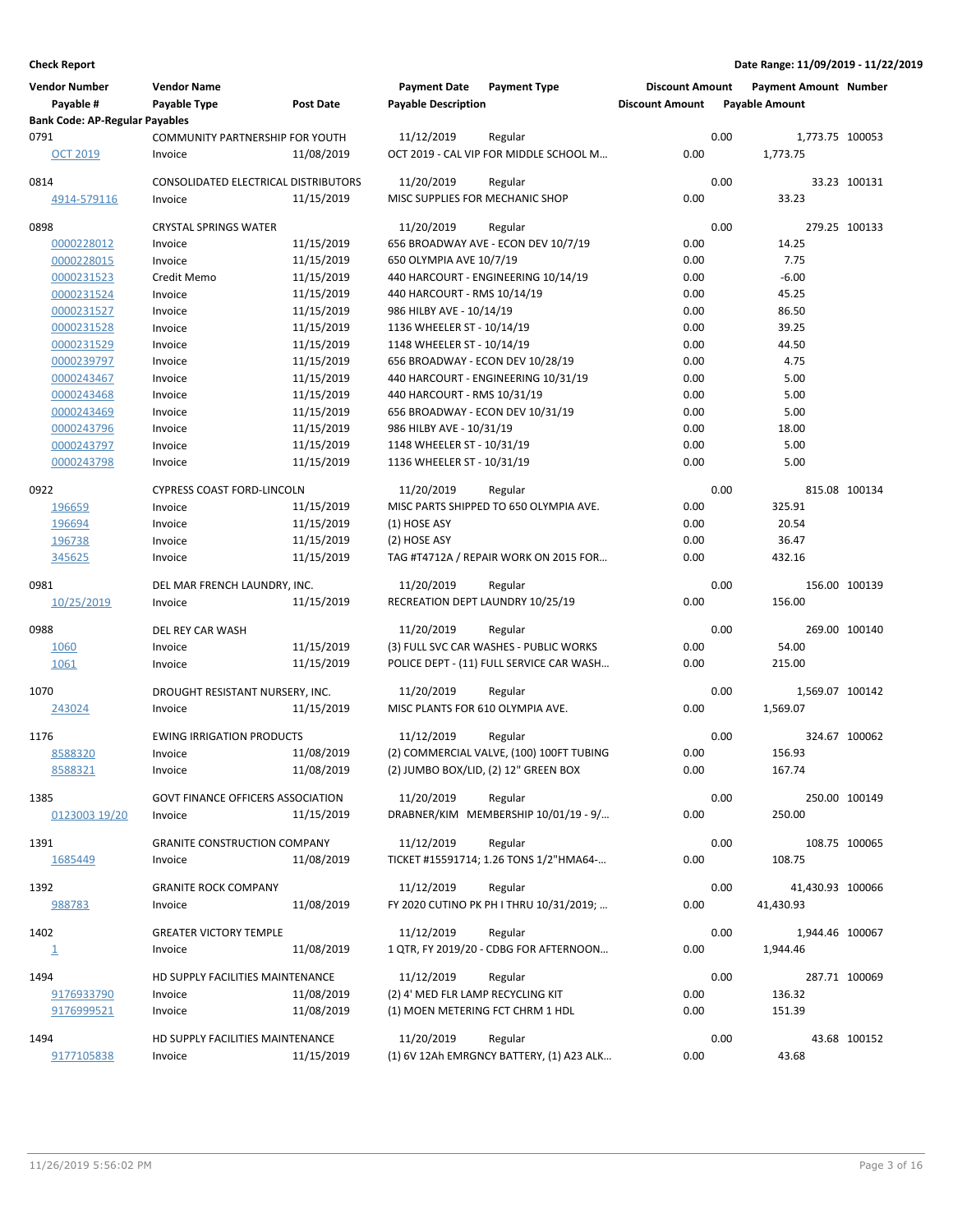| <b>Vendor Number</b><br>Payable #     | <b>Vendor Name</b><br>Payable Type          | <b>Post Date</b> | <b>Payment Date</b><br><b>Payable Description</b> | <b>Payment Type</b>                               | <b>Discount Amount</b><br><b>Discount Amount</b> |      | Payment Amount Number<br><b>Payable Amount</b> |               |
|---------------------------------------|---------------------------------------------|------------------|---------------------------------------------------|---------------------------------------------------|--------------------------------------------------|------|------------------------------------------------|---------------|
| <b>Bank Code: AP-Regular Payables</b> |                                             |                  |                                                   |                                                   |                                                  |      |                                                |               |
| 0791                                  | COMMUNITY PARTNERSHIP FOR YOUTH             |                  | 11/12/2019                                        | Regular                                           |                                                  | 0.00 | 1,773.75 100053                                |               |
| OCT 2019                              | Invoice                                     | 11/08/2019       |                                                   | OCT 2019 - CAL VIP FOR MIDDLE SCHOOL M            | 0.00                                             |      | 1,773.75                                       |               |
| 0814                                  | <b>CONSOLIDATED ELECTRICAL DISTRIBUTORS</b> |                  | 11/20/2019                                        | Regular                                           |                                                  | 0.00 |                                                | 33.23 100131  |
| 4914-579116                           | Invoice                                     | 11/15/2019       | MISC SUPPLIES FOR MECHANIC SHOP                   |                                                   | 0.00                                             |      | 33.23                                          |               |
| 0898                                  | <b>CRYSTAL SPRINGS WATER</b>                |                  | 11/20/2019                                        | Regular                                           |                                                  | 0.00 |                                                | 279.25 100133 |
| 0000228012                            | Invoice                                     | 11/15/2019       |                                                   | 656 BROADWAY AVE - ECON DEV 10/7/19               | 0.00                                             |      | 14.25                                          |               |
| 0000228015                            | Invoice                                     | 11/15/2019       | 650 OLYMPIA AVE 10/7/19                           |                                                   | 0.00                                             |      | 7.75                                           |               |
| 0000231523                            | Credit Memo                                 | 11/15/2019       |                                                   | 440 HARCOURT - ENGINEERING 10/14/19               | 0.00                                             |      | $-6.00$                                        |               |
| 0000231524                            | Invoice                                     | 11/15/2019       | 440 HARCOURT - RMS 10/14/19                       |                                                   | 0.00                                             |      | 45.25                                          |               |
| 0000231527                            | Invoice                                     | 11/15/2019       | 986 HILBY AVE - 10/14/19                          |                                                   | 0.00                                             |      | 86.50                                          |               |
| 0000231528                            | Invoice                                     | 11/15/2019       | 1136 WHEELER ST - 10/14/19                        |                                                   | 0.00                                             |      | 39.25                                          |               |
| 0000231529                            | Invoice                                     | 11/15/2019       | 1148 WHEELER ST - 10/14/19                        |                                                   | 0.00                                             |      | 44.50                                          |               |
| 0000239797                            | Invoice                                     | 11/15/2019       | 656 BROADWAY - ECON DEV 10/28/19                  |                                                   | 0.00                                             |      | 4.75                                           |               |
| 0000243467                            | Invoice                                     | 11/15/2019       |                                                   | 440 HARCOURT - ENGINEERING 10/31/19               | 0.00                                             |      | 5.00                                           |               |
| 0000243468                            | Invoice                                     | 11/15/2019       | 440 HARCOURT - RMS 10/31/19                       |                                                   | 0.00                                             |      | 5.00                                           |               |
| 0000243469                            | Invoice                                     | 11/15/2019       | 656 BROADWAY - ECON DEV 10/31/19                  |                                                   | 0.00                                             |      | 5.00                                           |               |
| 0000243796                            | Invoice                                     | 11/15/2019       | 986 HILBY AVE - 10/31/19                          |                                                   | 0.00                                             |      | 18.00                                          |               |
| 0000243797                            | Invoice                                     | 11/15/2019       | 1148 WHEELER ST - 10/31/19                        |                                                   | 0.00                                             |      | 5.00                                           |               |
| 0000243798                            | Invoice                                     | 11/15/2019       | 1136 WHEELER ST - 10/31/19                        |                                                   | 0.00                                             |      | 5.00                                           |               |
| 0922                                  | <b>CYPRESS COAST FORD-LINCOLN</b>           |                  | 11/20/2019                                        |                                                   |                                                  | 0.00 |                                                | 815.08 100134 |
| 196659                                | Invoice                                     | 11/15/2019       |                                                   | Regular<br>MISC PARTS SHIPPED TO 650 OLYMPIA AVE. | 0.00                                             |      | 325.91                                         |               |
| 196694                                | Invoice                                     | 11/15/2019       | (1) HOSE ASY                                      |                                                   | 0.00                                             |      | 20.54                                          |               |
| 196738                                | Invoice                                     | 11/15/2019       | (2) HOSE ASY                                      |                                                   | 0.00                                             |      | 36.47                                          |               |
| 345625                                | Invoice                                     | 11/15/2019       |                                                   | TAG #T4712A / REPAIR WORK ON 2015 FOR             | 0.00                                             |      | 432.16                                         |               |
|                                       |                                             |                  |                                                   |                                                   |                                                  |      |                                                |               |
| 0981                                  | DEL MAR FRENCH LAUNDRY, INC.                |                  | 11/20/2019                                        | Regular                                           |                                                  | 0.00 |                                                | 156.00 100139 |
| 10/25/2019                            | Invoice                                     | 11/15/2019       | RECREATION DEPT LAUNDRY 10/25/19                  |                                                   | 0.00                                             |      | 156.00                                         |               |
| 0988                                  | DEL REY CAR WASH                            |                  | 11/20/2019                                        | Regular                                           |                                                  | 0.00 |                                                | 269.00 100140 |
| 1060                                  | Invoice                                     | 11/15/2019       |                                                   | (3) FULL SVC CAR WASHES - PUBLIC WORKS            | 0.00                                             |      | 54.00                                          |               |
| 1061                                  | Invoice                                     | 11/15/2019       |                                                   | POLICE DEPT - (11) FULL SERVICE CAR WASH          | 0.00                                             |      | 215.00                                         |               |
|                                       |                                             |                  | 11/20/2019                                        |                                                   |                                                  |      |                                                |               |
| 1070                                  | DROUGHT RESISTANT NURSERY, INC.             | 11/15/2019       | MISC PLANTS FOR 610 OLYMPIA AVE.                  | Regular                                           | 0.00                                             | 0.00 | 1,569.07 100142<br>1,569.07                    |               |
| 243024                                | Invoice                                     |                  |                                                   |                                                   |                                                  |      |                                                |               |
| 1176                                  | <b>EWING IRRIGATION PRODUCTS</b>            |                  | 11/12/2019                                        | Regular                                           |                                                  | 0.00 |                                                | 324.67 100062 |
| 8588320                               | Invoice                                     | 11/08/2019       |                                                   | (2) COMMERCIAL VALVE, (100) 100FT TUBING          | 0.00                                             |      | 156.93                                         |               |
| 8588321                               | Invoice                                     | 11/08/2019       |                                                   | (2) JUMBO BOX/LID, (2) 12" GREEN BOX              | 0.00                                             |      | 167.74                                         |               |
| 1385                                  | <b>GOVT FINANCE OFFICERS ASSOCIATION</b>    |                  | 11/20/2019                                        | Regular                                           |                                                  | 0.00 |                                                | 250.00 100149 |
| 0123003 19/20                         | Invoice                                     | 11/15/2019       |                                                   | DRABNER/KIM MEMBERSHIP 10/01/19 - 9/              | 0.00                                             |      | 250.00                                         |               |
|                                       |                                             |                  |                                                   |                                                   |                                                  |      |                                                |               |
| 1391                                  | <b>GRANITE CONSTRUCTION COMPANY</b>         |                  | 11/12/2019                                        | Regular                                           |                                                  | 0.00 |                                                | 108.75 100065 |
| 1685449                               | Invoice                                     | 11/08/2019       |                                                   | TICKET #15591714; 1.26 TONS 1/2"HMA64-            | 0.00                                             |      | 108.75                                         |               |
| 1392                                  | <b>GRANITE ROCK COMPANY</b>                 |                  | 11/12/2019                                        | Regular                                           |                                                  | 0.00 | 41,430.93 100066                               |               |
| 988783                                | Invoice                                     | 11/08/2019       |                                                   | FY 2020 CUTINO PK PH I THRU 10/31/2019;           | 0.00                                             |      | 41,430.93                                      |               |
| 1402                                  |                                             |                  | 11/12/2019                                        | Regular                                           |                                                  | 0.00 | 1,944.46 100067                                |               |
|                                       | <b>GREATER VICTORY TEMPLE</b>               |                  |                                                   |                                                   |                                                  |      |                                                |               |
| $\overline{\mathbf{1}}$               | Invoice                                     | 11/08/2019       |                                                   | 1 QTR, FY 2019/20 - CDBG FOR AFTERNOON            | 0.00                                             |      | 1,944.46                                       |               |
| 1494                                  | HD SUPPLY FACILITIES MAINTENANCE            |                  | 11/12/2019                                        | Regular                                           |                                                  | 0.00 |                                                | 287.71 100069 |
| 9176933790                            | Invoice                                     | 11/08/2019       | (2) 4' MED FLR LAMP RECYCLING KIT                 |                                                   | 0.00                                             |      | 136.32                                         |               |
| 9176999521                            | Invoice                                     | 11/08/2019       | (1) MOEN METERING FCT CHRM 1 HDL                  |                                                   | 0.00                                             |      | 151.39                                         |               |
|                                       | HD SUPPLY FACILITIES MAINTENANCE            |                  |                                                   |                                                   |                                                  | 0.00 |                                                |               |
| 1494                                  |                                             |                  | 11/20/2019                                        | Regular                                           | 0.00                                             |      | 43.68                                          | 43.68 100152  |
| 9177105838                            | Invoice                                     | 11/15/2019       |                                                   | (1) 6V 12Ah EMRGNCY BATTERY, (1) A23 ALK          |                                                  |      |                                                |               |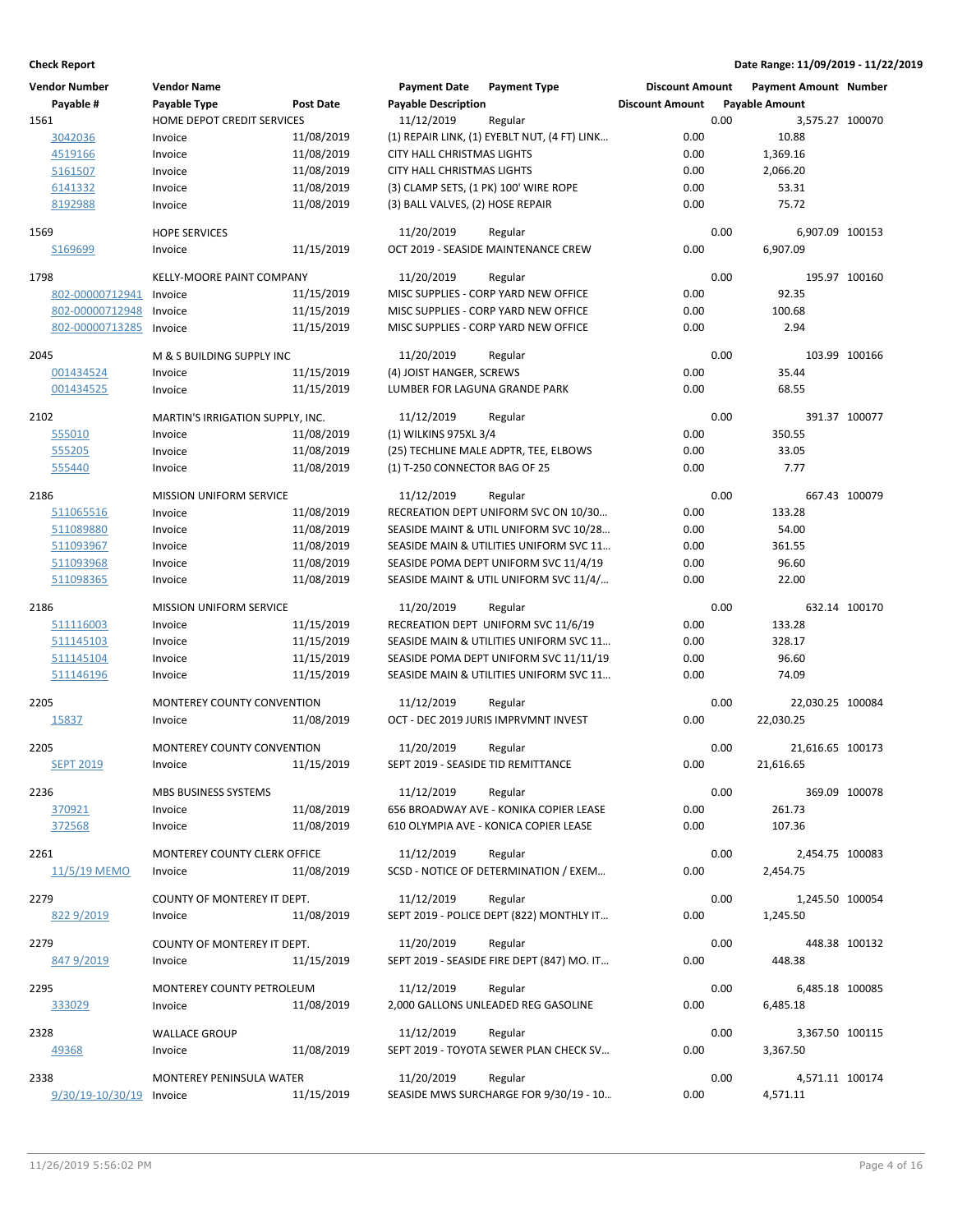| <b>Vendor Number</b>         | <b>Vendor Name</b>               |                  | <b>Payment Date</b>                | <b>Payment Type</b>                          | <b>Discount Amount</b> |      | <b>Payment Amount Number</b> |               |
|------------------------------|----------------------------------|------------------|------------------------------------|----------------------------------------------|------------------------|------|------------------------------|---------------|
| Payable #                    | Payable Type                     | <b>Post Date</b> | <b>Payable Description</b>         |                                              | <b>Discount Amount</b> |      | <b>Payable Amount</b>        |               |
| 1561                         | HOME DEPOT CREDIT SERVICES       |                  | 11/12/2019                         | Regular                                      |                        | 0.00 | 3,575.27 100070              |               |
| 3042036                      | Invoice                          | 11/08/2019       |                                    | (1) REPAIR LINK, (1) EYEBLT NUT, (4 FT) LINK | 0.00                   |      | 10.88                        |               |
| 4519166                      | Invoice                          | 11/08/2019       | CITY HALL CHRISTMAS LIGHTS         |                                              | 0.00                   |      | 1,369.16                     |               |
| 5161507                      | Invoice                          | 11/08/2019       | <b>CITY HALL CHRISTMAS LIGHTS</b>  |                                              | 0.00                   |      | 2,066.20                     |               |
| 6141332                      | Invoice                          | 11/08/2019       |                                    | (3) CLAMP SETS, (1 PK) 100' WIRE ROPE        | 0.00                   |      | 53.31                        |               |
| 8192988                      | Invoice                          | 11/08/2019       | (3) BALL VALVES, (2) HOSE REPAIR   |                                              | 0.00                   |      | 75.72                        |               |
|                              |                                  |                  |                                    |                                              |                        |      |                              |               |
| 1569                         | <b>HOPE SERVICES</b>             |                  | 11/20/2019                         | Regular                                      |                        | 0.00 | 6,907.09 100153              |               |
| S169699                      | Invoice                          | 11/15/2019       |                                    | OCT 2019 - SEASIDE MAINTENANCE CREW          | 0.00                   |      | 6,907.09                     |               |
|                              |                                  |                  |                                    |                                              |                        |      |                              |               |
| 1798                         | <b>KELLY-MOORE PAINT COMPANY</b> |                  | 11/20/2019                         | Regular                                      |                        | 0.00 |                              | 195.97 100160 |
| 802-00000712941              | Invoice                          | 11/15/2019       |                                    | MISC SUPPLIES - CORP YARD NEW OFFICE         | 0.00                   |      | 92.35                        |               |
| 802-00000712948              | Invoice                          | 11/15/2019       |                                    | MISC SUPPLIES - CORP YARD NEW OFFICE         | 0.00                   |      | 100.68                       |               |
| 802-00000713285              | Invoice                          | 11/15/2019       |                                    | MISC SUPPLIES - CORP YARD NEW OFFICE         | 0.00                   |      | 2.94                         |               |
|                              |                                  |                  |                                    |                                              |                        |      |                              |               |
| 2045                         | M & S BUILDING SUPPLY INC        |                  | 11/20/2019                         | Regular                                      |                        | 0.00 |                              | 103.99 100166 |
| 001434524                    | Invoice                          | 11/15/2019       | (4) JOIST HANGER, SCREWS           |                                              | 0.00                   |      | 35.44                        |               |
| 001434525                    | Invoice                          | 11/15/2019       | LUMBER FOR LAGUNA GRANDE PARK      |                                              | 0.00                   |      | 68.55                        |               |
|                              | MARTIN'S IRRIGATION SUPPLY, INC. |                  |                                    |                                              |                        | 0.00 |                              |               |
| 2102                         |                                  |                  | 11/12/2019                         | Regular                                      |                        |      |                              | 391.37 100077 |
| 555010                       | Invoice                          | 11/08/2019       | (1) WILKINS 975XL 3/4              |                                              | 0.00                   |      | 350.55                       |               |
| 555205                       | Invoice                          | 11/08/2019       |                                    | (25) TECHLINE MALE ADPTR, TEE, ELBOWS        | 0.00                   |      | 33.05                        |               |
| 555440                       | Invoice                          | 11/08/2019       | (1) T-250 CONNECTOR BAG OF 25      |                                              | 0.00                   |      | 7.77                         |               |
| 2186                         | MISSION UNIFORM SERVICE          |                  | 11/12/2019                         | Regular                                      |                        | 0.00 |                              | 667.43 100079 |
| 511065516                    | Invoice                          | 11/08/2019       |                                    | RECREATION DEPT UNIFORM SVC ON 10/30         | 0.00                   |      | 133.28                       |               |
| 511089880                    | Invoice                          | 11/08/2019       |                                    | SEASIDE MAINT & UTIL UNIFORM SVC 10/28       | 0.00                   |      | 54.00                        |               |
|                              |                                  |                  |                                    |                                              |                        |      |                              |               |
| 511093967                    | Invoice                          | 11/08/2019       |                                    | SEASIDE MAIN & UTILITIES UNIFORM SVC 11      | 0.00                   |      | 361.55                       |               |
| 511093968                    | Invoice                          | 11/08/2019       |                                    | SEASIDE POMA DEPT UNIFORM SVC 11/4/19        | 0.00                   |      | 96.60                        |               |
| 511098365                    | Invoice                          | 11/08/2019       |                                    | SEASIDE MAINT & UTIL UNIFORM SVC 11/4/       | 0.00                   |      | 22.00                        |               |
| 2186                         | MISSION UNIFORM SERVICE          |                  | 11/20/2019                         | Regular                                      |                        | 0.00 |                              | 632.14 100170 |
| 511116003                    | Invoice                          | 11/15/2019       |                                    | RECREATION DEPT UNIFORM SVC 11/6/19          | 0.00                   |      | 133.28                       |               |
| 511145103                    | Invoice                          | 11/15/2019       |                                    | SEASIDE MAIN & UTILITIES UNIFORM SVC 11      | 0.00                   |      | 328.17                       |               |
| 511145104                    | Invoice                          | 11/15/2019       |                                    | SEASIDE POMA DEPT UNIFORM SVC 11/11/19       | 0.00                   |      | 96.60                        |               |
| 511146196                    | Invoice                          | 11/15/2019       |                                    | SEASIDE MAIN & UTILITIES UNIFORM SVC 11      | 0.00                   |      | 74.09                        |               |
|                              |                                  |                  |                                    |                                              |                        |      |                              |               |
| 2205                         | MONTEREY COUNTY CONVENTION       |                  | 11/12/2019                         | Regular                                      |                        | 0.00 | 22,030.25 100084             |               |
| 15837                        | Invoice                          | 11/08/2019       |                                    | OCT - DEC 2019 JURIS IMPRVMNT INVEST         | 0.00                   |      | 22,030.25                    |               |
|                              |                                  |                  |                                    |                                              |                        |      |                              |               |
| 2205                         | MONTEREY COUNTY CONVENTION       |                  | 11/20/2019                         | Regular                                      |                        | 0.00 | 21,616.65 100173             |               |
| <b>SEPT 2019</b>             | Invoice                          | 11/15/2019       | SEPT 2019 - SEASIDE TID REMITTANCE |                                              | 0.00                   |      | 21,616.65                    |               |
|                              |                                  |                  |                                    |                                              |                        |      |                              |               |
| 2236                         | MBS BUSINESS SYSTEMS             |                  | 11/12/2019                         | Regular                                      |                        | 0.00 |                              | 369.09 100078 |
| 370921                       | Invoice                          | 11/08/2019       |                                    | 656 BROADWAY AVE - KONIKA COPIER LEASE       | 0.00                   |      | 261.73                       |               |
| 372568                       | Invoice                          | 11/08/2019       |                                    | 610 OLYMPIA AVE - KONICA COPIER LEASE        | 0.00                   |      | 107.36                       |               |
| 2261                         | MONTEREY COUNTY CLERK OFFICE     |                  | 11/12/2019                         | Regular                                      |                        | 0.00 | 2,454.75 100083              |               |
| 11/5/19 MEMO                 | Invoice                          | 11/08/2019       |                                    | SCSD - NOTICE OF DETERMINATION / EXEM        | 0.00                   |      | 2,454.75                     |               |
|                              |                                  |                  |                                    |                                              |                        |      |                              |               |
| 2279                         | COUNTY OF MONTEREY IT DEPT.      |                  | 11/12/2019                         | Regular                                      |                        | 0.00 | 1,245.50 100054              |               |
| 822 9/2019                   | Invoice                          | 11/08/2019       |                                    | SEPT 2019 - POLICE DEPT (822) MONTHLY IT     | 0.00                   |      | 1,245.50                     |               |
|                              |                                  |                  |                                    |                                              |                        |      |                              |               |
| 2279                         | COUNTY OF MONTEREY IT DEPT.      |                  | 11/20/2019                         | Regular                                      |                        | 0.00 |                              | 448.38 100132 |
| 847 9/2019                   | Invoice                          | 11/15/2019       |                                    | SEPT 2019 - SEASIDE FIRE DEPT (847) MO. IT   | 0.00                   |      | 448.38                       |               |
|                              |                                  |                  |                                    |                                              |                        |      |                              |               |
| 2295                         | MONTEREY COUNTY PETROLEUM        |                  | 11/12/2019                         | Regular                                      |                        | 0.00 | 6,485.18 100085              |               |
| 333029                       | Invoice                          | 11/08/2019       |                                    | 2,000 GALLONS UNLEADED REG GASOLINE          | 0.00                   |      | 6,485.18                     |               |
| 2328                         | <b>WALLACE GROUP</b>             |                  | 11/12/2019                         | Regular                                      |                        | 0.00 | 3,367.50 100115              |               |
| 49368                        | Invoice                          | 11/08/2019       |                                    | SEPT 2019 - TOYOTA SEWER PLAN CHECK SV       | 0.00                   |      | 3,367.50                     |               |
|                              |                                  |                  |                                    |                                              |                        |      |                              |               |
| 2338                         | MONTEREY PENINSULA WATER         |                  | 11/20/2019                         | Regular                                      |                        | 0.00 | 4,571.11 100174              |               |
| $9/30/19 - 10/30/19$ Invoice |                                  | 11/15/2019       |                                    | SEASIDE MWS SURCHARGE FOR 9/30/19 - 10       | 0.00                   |      | 4,571.11                     |               |
|                              |                                  |                  |                                    |                                              |                        |      |                              |               |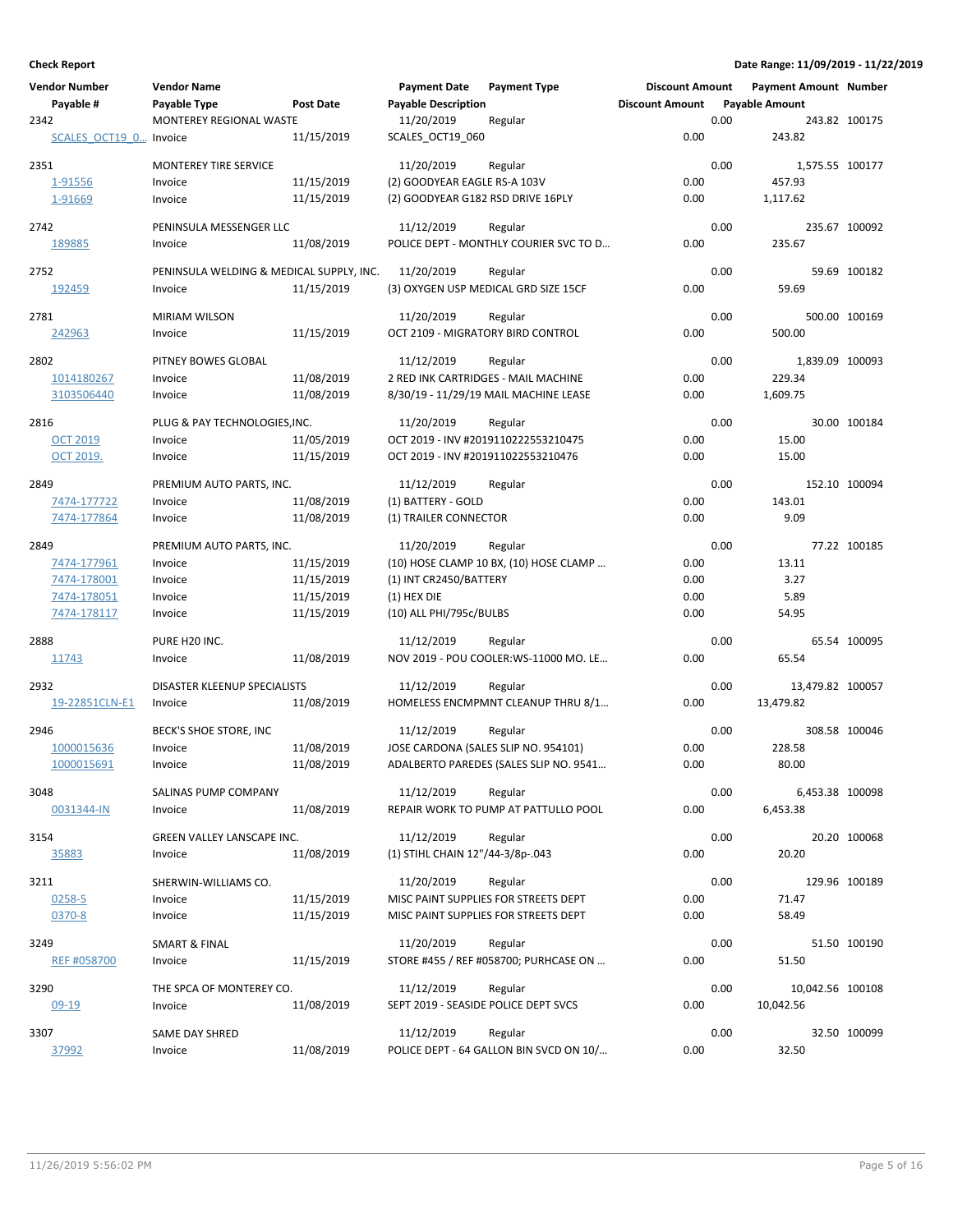| <b>Vendor Number</b>   | <b>Vendor Name</b>                       |            | <b>Payment Date</b>                  | <b>Payment Type</b>                     | <b>Discount Amount</b> |      | <b>Payment Amount Number</b> |               |
|------------------------|------------------------------------------|------------|--------------------------------------|-----------------------------------------|------------------------|------|------------------------------|---------------|
| Payable #              | Payable Type                             | Post Date  | <b>Payable Description</b>           |                                         | <b>Discount Amount</b> |      | <b>Payable Amount</b>        |               |
| 2342                   | MONTEREY REGIONAL WASTE                  |            | 11/20/2019                           | Regular                                 |                        | 0.00 |                              | 243.82 100175 |
| SCALES OCT19 0 Invoice |                                          | 11/15/2019 | SCALES_OCT19_060                     |                                         | 0.00                   |      | 243.82                       |               |
| 2351                   | <b>MONTEREY TIRE SERVICE</b>             |            | 11/20/2019                           | Regular                                 |                        | 0.00 | 1,575.55 100177              |               |
| 1-91556                | Invoice                                  | 11/15/2019 | (2) GOODYEAR EAGLE RS-A 103V         |                                         | 0.00                   |      | 457.93                       |               |
| 1-91669                | Invoice                                  | 11/15/2019 | (2) GOODYEAR G182 RSD DRIVE 16PLY    |                                         | 0.00                   |      | 1,117.62                     |               |
| 2742                   | PENINSULA MESSENGER LLC                  |            | 11/12/2019                           | Regular                                 |                        | 0.00 |                              | 235.67 100092 |
| 189885                 | Invoice                                  | 11/08/2019 |                                      | POLICE DEPT - MONTHLY COURIER SVC TO D  | 0.00                   |      | 235.67                       |               |
| 2752                   | PENINSULA WELDING & MEDICAL SUPPLY, INC. |            | 11/20/2019                           | Regular                                 |                        | 0.00 |                              | 59.69 100182  |
| 192459                 | Invoice                                  | 11/15/2019 |                                      | (3) OXYGEN USP MEDICAL GRD SIZE 15CF    | 0.00                   |      | 59.69                        |               |
| 2781                   | <b>MIRIAM WILSON</b>                     |            | 11/20/2019                           | Regular                                 |                        | 0.00 |                              | 500.00 100169 |
| 242963                 | Invoice                                  | 11/15/2019 | OCT 2109 - MIGRATORY BIRD CONTROL    |                                         | 0.00                   |      | 500.00                       |               |
| 2802                   | PITNEY BOWES GLOBAL                      |            | 11/12/2019                           | Regular                                 |                        | 0.00 | 1,839.09 100093              |               |
| 1014180267             | Invoice                                  | 11/08/2019 |                                      | 2 RED INK CARTRIDGES - MAIL MACHINE     | 0.00                   |      | 229.34                       |               |
| 3103506440             | Invoice                                  | 11/08/2019 |                                      | 8/30/19 - 11/29/19 MAIL MACHINE LEASE   | 0.00                   |      | 1,609.75                     |               |
| 2816                   | PLUG & PAY TECHNOLOGIES, INC.            |            | 11/20/2019                           | Regular                                 |                        | 0.00 |                              | 30.00 100184  |
| <b>OCT 2019</b>        | Invoice                                  | 11/05/2019 |                                      | OCT 2019 - INV #2019110222553210475     | 0.00                   |      | 15.00                        |               |
| <b>OCT 2019.</b>       | Invoice                                  | 11/15/2019 | OCT 2019 - INV #201911022553210476   |                                         | 0.00                   |      | 15.00                        |               |
| 2849                   | PREMIUM AUTO PARTS, INC.                 |            | 11/12/2019                           | Regular                                 |                        | 0.00 |                              | 152.10 100094 |
| 7474-177722            | Invoice                                  | 11/08/2019 | (1) BATTERY - GOLD                   |                                         | 0.00                   |      | 143.01                       |               |
| 7474-177864            | Invoice                                  | 11/08/2019 | (1) TRAILER CONNECTOR                |                                         | 0.00                   |      | 9.09                         |               |
| 2849                   | PREMIUM AUTO PARTS, INC.                 |            | 11/20/2019                           | Regular                                 |                        | 0.00 |                              | 77.22 100185  |
| 7474-177961            | Invoice                                  | 11/15/2019 |                                      | (10) HOSE CLAMP 10 BX, (10) HOSE CLAMP  | 0.00                   |      | 13.11                        |               |
| 7474-178001            | Invoice                                  | 11/15/2019 | (1) INT CR2450/BATTERY               |                                         | 0.00                   |      | 3.27                         |               |
| 7474-178051            | Invoice                                  | 11/15/2019 | $(1)$ HEX DIE                        |                                         | 0.00                   |      | 5.89                         |               |
| 7474-178117            | Invoice                                  | 11/15/2019 | (10) ALL PHI/795c/BULBS              |                                         | 0.00                   |      | 54.95                        |               |
| 2888                   | PURE H20 INC.                            |            | 11/12/2019                           | Regular                                 |                        | 0.00 |                              | 65.54 100095  |
| 11743                  | Invoice                                  | 11/08/2019 |                                      | NOV 2019 - POU COOLER: WS-11000 MO. LE  | 0.00                   |      | 65.54                        |               |
| 2932                   | DISASTER KLEENUP SPECIALISTS             |            | 11/12/2019                           | Regular                                 |                        | 0.00 | 13,479.82 100057             |               |
| 19-22851CLN-E1         | Invoice                                  | 11/08/2019 |                                      | HOMELESS ENCMPMNT CLEANUP THRU 8/1      | 0.00                   |      | 13,479.82                    |               |
| 2946                   | BECK'S SHOE STORE, INC                   |            | 11/12/2019                           | Regular                                 |                        | 0.00 |                              | 308.58 100046 |
| 1000015636             | Invoice                                  | 11/08/2019 |                                      | JOSE CARDONA (SALES SLIP NO. 954101)    | 0.00                   |      | 228.58                       |               |
| 1000015691             | Invoice                                  | 11/08/2019 |                                      | ADALBERTO PAREDES (SALES SLIP NO. 9541  | 0.00                   |      | 80.00                        |               |
| 3048                   | SALINAS PUMP COMPANY                     |            | 11/12/2019                           | Regular                                 |                        | 0.00 | 6,453.38 100098              |               |
| 0031344-IN             | Invoice                                  | 11/08/2019 |                                      | REPAIR WORK TO PUMP AT PATTULLO POOL    | 0.00                   |      | 6,453.38                     |               |
| 3154                   | GREEN VALLEY LANSCAPE INC.               |            | 11/12/2019                           | Regular                                 |                        | 0.00 |                              | 20.20 100068  |
| 35883                  | Invoice                                  | 11/08/2019 | (1) STIHL CHAIN 12"/44-3/8p-.043     |                                         | 0.00                   |      | 20.20                        |               |
| 3211                   | SHERWIN-WILLIAMS CO.                     |            | 11/20/2019                           | Regular                                 |                        | 0.00 |                              | 129.96 100189 |
| 0258-5                 | Invoice                                  | 11/15/2019 |                                      | MISC PAINT SUPPLIES FOR STREETS DEPT    | 0.00                   |      | 71.47                        |               |
| 0370-8                 | Invoice                                  | 11/15/2019 |                                      | MISC PAINT SUPPLIES FOR STREETS DEPT    | 0.00                   |      | 58.49                        |               |
| 3249                   | SMART & FINAL                            |            | 11/20/2019                           | Regular                                 |                        | 0.00 |                              | 51.50 100190  |
| <b>REF #058700</b>     | Invoice                                  | 11/15/2019 |                                      | STORE #455 / REF #058700; PURHCASE ON   | 0.00                   |      | 51.50                        |               |
| 3290                   | THE SPCA OF MONTEREY CO.                 |            | 11/12/2019                           | Regular                                 |                        | 0.00 | 10,042.56 100108             |               |
| $09-19$                | Invoice                                  | 11/08/2019 | SEPT 2019 - SEASIDE POLICE DEPT SVCS |                                         | 0.00                   |      | 10,042.56                    |               |
| 3307                   | SAME DAY SHRED                           |            | 11/12/2019                           | Regular                                 |                        | 0.00 |                              | 32.50 100099  |
| 37992                  | Invoice                                  | 11/08/2019 |                                      | POLICE DEPT - 64 GALLON BIN SVCD ON 10/ | 0.00                   |      | 32.50                        |               |
|                        |                                          |            |                                      |                                         |                        |      |                              |               |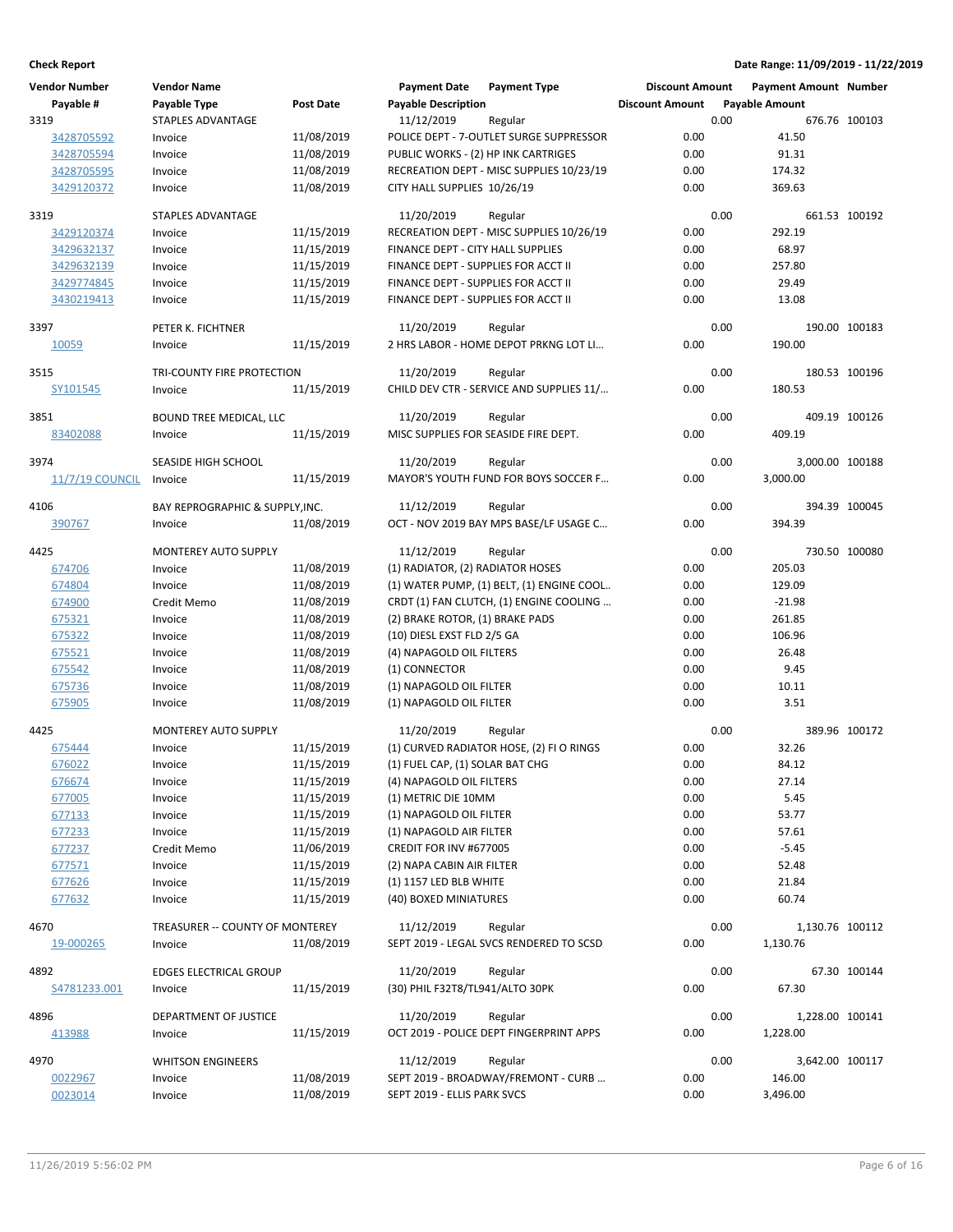| <b>Vendor Number</b>   | <b>Vendor Name</b>              |            | <b>Payment Date</b>                 | <b>Payment Type</b>                       | <b>Discount Amount</b> |      | Payment Amount Number |               |
|------------------------|---------------------------------|------------|-------------------------------------|-------------------------------------------|------------------------|------|-----------------------|---------------|
| Payable #              | Payable Type                    | Post Date  | <b>Payable Description</b>          |                                           | <b>Discount Amount</b> |      | <b>Payable Amount</b> |               |
| 3319                   | <b>STAPLES ADVANTAGE</b>        |            | 11/12/2019                          | Regular                                   |                        | 0.00 |                       | 676.76 100103 |
| 3428705592             | Invoice                         | 11/08/2019 |                                     | POLICE DEPT - 7-OUTLET SURGE SUPPRESSOR   | 0.00                   |      | 41.50                 |               |
| 3428705594             | Invoice                         | 11/08/2019 | PUBLIC WORKS - (2) HP INK CARTRIGES |                                           | 0.00                   |      | 91.31                 |               |
| 3428705595             | Invoice                         | 11/08/2019 |                                     | RECREATION DEPT - MISC SUPPLIES 10/23/19  | 0.00                   |      | 174.32                |               |
| 3429120372             | Invoice                         | 11/08/2019 | CITY HALL SUPPLIES 10/26/19         |                                           | 0.00                   |      | 369.63                |               |
|                        |                                 |            |                                     |                                           |                        |      |                       |               |
| 3319                   | <b>STAPLES ADVANTAGE</b>        |            | 11/20/2019                          | Regular                                   |                        | 0.00 |                       | 661.53 100192 |
| 3429120374             | Invoice                         | 11/15/2019 |                                     | RECREATION DEPT - MISC SUPPLIES 10/26/19  | 0.00                   |      | 292.19                |               |
| 3429632137             | Invoice                         | 11/15/2019 | FINANCE DEPT - CITY HALL SUPPLIES   |                                           | 0.00                   |      | 68.97                 |               |
| 3429632139             | Invoice                         | 11/15/2019 | FINANCE DEPT - SUPPLIES FOR ACCT II |                                           | 0.00                   |      | 257.80                |               |
| 3429774845             | Invoice                         | 11/15/2019 | FINANCE DEPT - SUPPLIES FOR ACCT II |                                           | 0.00                   |      | 29.49                 |               |
| 3430219413             | Invoice                         | 11/15/2019 | FINANCE DEPT - SUPPLIES FOR ACCT II |                                           | 0.00                   |      | 13.08                 |               |
|                        |                                 |            |                                     |                                           |                        |      |                       |               |
| 3397                   | PETER K. FICHTNER               |            | 11/20/2019                          | Regular                                   |                        | 0.00 |                       | 190.00 100183 |
| 10059                  | Invoice                         | 11/15/2019 |                                     | 2 HRS LABOR - HOME DEPOT PRKNG LOT LI     | 0.00                   |      | 190.00                |               |
|                        |                                 |            |                                     |                                           |                        |      |                       |               |
| 3515                   | TRI-COUNTY FIRE PROTECTION      |            | 11/20/2019                          | Regular                                   |                        | 0.00 |                       | 180.53 100196 |
| SY101545               | Invoice                         | 11/15/2019 |                                     | CHILD DEV CTR - SERVICE AND SUPPLIES 11/  | 0.00                   |      | 180.53                |               |
|                        |                                 |            |                                     |                                           |                        |      |                       |               |
| 3851                   | BOUND TREE MEDICAL, LLC         |            | 11/20/2019                          | Regular                                   |                        | 0.00 |                       | 409.19 100126 |
| 83402088               | Invoice                         | 11/15/2019 |                                     | MISC SUPPLIES FOR SEASIDE FIRE DEPT.      | 0.00                   |      | 409.19                |               |
| 3974                   | SEASIDE HIGH SCHOOL             |            | 11/20/2019                          | Regular                                   |                        | 0.00 | 3,000.00 100188       |               |
| <b>11/7/19 COUNCIL</b> | Invoice                         | 11/15/2019 |                                     | MAYOR'S YOUTH FUND FOR BOYS SOCCER F      | 0.00                   |      | 3,000.00              |               |
|                        |                                 |            |                                     |                                           |                        |      |                       |               |
| 4106                   | BAY REPROGRAPHIC & SUPPLY, INC. |            | 11/12/2019                          | Regular                                   |                        | 0.00 |                       | 394.39 100045 |
| 390767                 | Invoice                         | 11/08/2019 |                                     | OCT - NOV 2019 BAY MPS BASE/LF USAGE C    | 0.00                   |      | 394.39                |               |
|                        |                                 |            |                                     |                                           |                        |      |                       |               |
| 4425                   | <b>MONTEREY AUTO SUPPLY</b>     |            | 11/12/2019                          | Regular                                   |                        | 0.00 |                       | 730.50 100080 |
| 674706                 | Invoice                         | 11/08/2019 | (1) RADIATOR, (2) RADIATOR HOSES    |                                           | 0.00                   |      | 205.03                |               |
| 674804                 | Invoice                         | 11/08/2019 |                                     | (1) WATER PUMP, (1) BELT, (1) ENGINE COOL | 0.00                   |      | 129.09                |               |
| 674900                 | Credit Memo                     | 11/08/2019 |                                     | CRDT (1) FAN CLUTCH, (1) ENGINE COOLING   | 0.00                   |      | $-21.98$              |               |
| 675321                 | Invoice                         | 11/08/2019 | (2) BRAKE ROTOR, (1) BRAKE PADS     |                                           | 0.00                   |      | 261.85                |               |
| 675322                 | Invoice                         | 11/08/2019 | (10) DIESL EXST FLD 2/5 GA          |                                           | 0.00                   |      | 106.96                |               |
| 675521                 | Invoice                         | 11/08/2019 | (4) NAPAGOLD OIL FILTERS            |                                           | 0.00                   |      | 26.48                 |               |
| 675542                 | Invoice                         | 11/08/2019 | (1) CONNECTOR                       |                                           | 0.00                   |      | 9.45                  |               |
| 675736                 | Invoice                         | 11/08/2019 | (1) NAPAGOLD OIL FILTER             |                                           | 0.00                   |      | 10.11                 |               |
| 675905                 | Invoice                         | 11/08/2019 | (1) NAPAGOLD OIL FILTER             |                                           | 0.00                   |      | 3.51                  |               |
|                        |                                 |            |                                     |                                           |                        |      |                       |               |
| 4425                   | <b>MONTEREY AUTO SUPPLY</b>     |            | 11/20/2019                          | Regular                                   |                        | 0.00 |                       | 389.96 100172 |
| 675444                 | Invoice                         | 11/15/2019 |                                     | (1) CURVED RADIATOR HOSE, (2) FI O RINGS  | 0.00                   |      | 32.26                 |               |
| 676022                 | Invoice                         | 11/15/2019 | (1) FUEL CAP, (1) SOLAR BAT CHG     |                                           | 0.00                   |      | 84.12                 |               |
| 676674                 | Invoice                         | 11/15/2019 | (4) NAPAGOLD OIL FILTERS            |                                           | 0.00                   |      | 27.14                 |               |
| 677005                 | Invoice                         | 11/15/2019 | (1) METRIC DIE 10MM                 |                                           | 0.00                   |      | 5.45                  |               |
| 677133                 | Invoice                         | 11/15/2019 | (1) NAPAGOLD OIL FILTER             |                                           | 0.00                   |      | 53.77                 |               |
|                        |                                 | 11/15/2019 |                                     |                                           | 0.00                   |      |                       |               |
| 677233                 | Invoice                         |            | (1) NAPAGOLD AIR FILTER             |                                           |                        |      | 57.61                 |               |
| 677237                 | Credit Memo                     | 11/06/2019 | CREDIT FOR INV #677005              |                                           | 0.00                   |      | $-5.45$               |               |
| 677571                 | Invoice                         | 11/15/2019 | (2) NAPA CABIN AIR FILTER           |                                           | 0.00                   |      | 52.48                 |               |
| 677626                 | Invoice                         | 11/15/2019 | (1) 1157 LED BLB WHITE              |                                           | 0.00                   |      | 21.84                 |               |
| 677632                 | Invoice                         | 11/15/2019 | (40) BOXED MINIATURES               |                                           | 0.00                   |      | 60.74                 |               |
| 4670                   | TREASURER -- COUNTY OF MONTEREY |            | 11/12/2019                          | Regular                                   |                        | 0.00 | 1,130.76 100112       |               |
| 19-000265              | Invoice                         | 11/08/2019 |                                     | SEPT 2019 - LEGAL SVCS RENDERED TO SCSD   | 0.00                   |      | 1,130.76              |               |
|                        |                                 |            |                                     |                                           |                        |      |                       |               |
| 4892                   | <b>EDGES ELECTRICAL GROUP</b>   |            | 11/20/2019                          | Regular                                   |                        | 0.00 |                       | 67.30 100144  |
| S4781233.001           | Invoice                         | 11/15/2019 | (30) PHIL F32T8/TL941/ALTO 30PK     |                                           | 0.00                   |      | 67.30                 |               |
|                        |                                 |            |                                     |                                           |                        |      |                       |               |
| 4896                   | DEPARTMENT OF JUSTICE           |            | 11/20/2019                          | Regular                                   |                        | 0.00 | 1,228.00 100141       |               |
| 413988                 | Invoice                         | 11/15/2019 |                                     | OCT 2019 - POLICE DEPT FINGERPRINT APPS   | 0.00                   |      | 1,228.00              |               |
|                        |                                 |            |                                     |                                           |                        |      |                       |               |
| 4970                   | <b>WHITSON ENGINEERS</b>        |            | 11/12/2019                          | Regular                                   |                        | 0.00 | 3,642.00 100117       |               |
| 0022967                | Invoice                         | 11/08/2019 |                                     | SEPT 2019 - BROADWAY/FREMONT - CURB       | 0.00                   |      | 146.00                |               |
| 0023014                | Invoice                         | 11/08/2019 | SEPT 2019 - ELLIS PARK SVCS         |                                           | 0.00                   |      | 3,496.00              |               |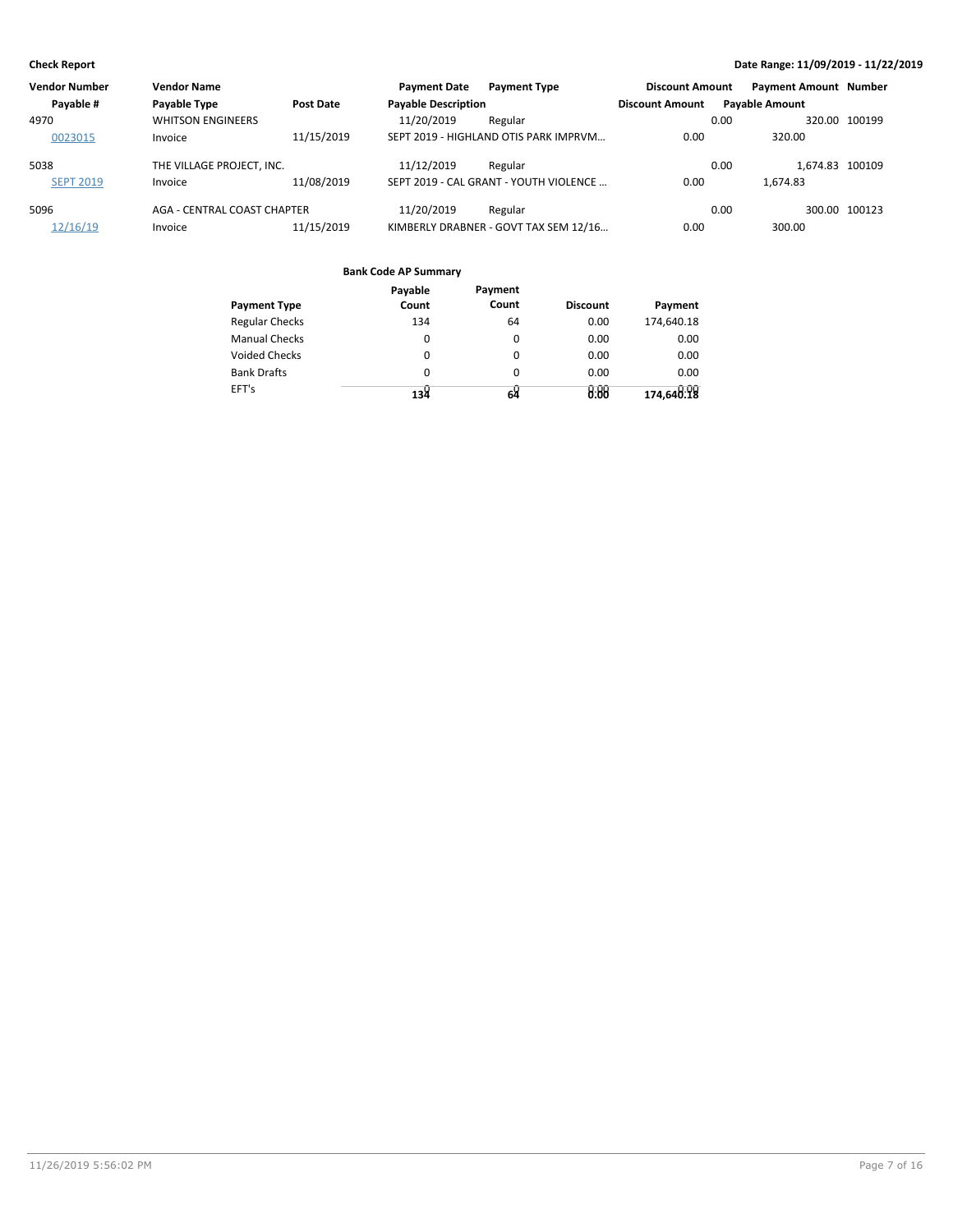| Vendor Number    | <b>Vendor Name</b>          |            | <b>Payment Date</b>        | <b>Payment Type</b>                    | <b>Discount Amount</b> | <b>Payment Amount Number</b> |               |
|------------------|-----------------------------|------------|----------------------------|----------------------------------------|------------------------|------------------------------|---------------|
| Payable #        | Payable Type                | Post Date  | <b>Payable Description</b> |                                        | <b>Discount Amount</b> | <b>Payable Amount</b>        |               |
| 4970             | <b>WHITSON ENGINEERS</b>    |            | 11/20/2019                 | Regular                                |                        | 0.00                         | 320.00 100199 |
| 0023015          | Invoice                     | 11/15/2019 |                            | SEPT 2019 - HIGHLAND OTIS PARK IMPRVM  | 0.00                   | 320.00                       |               |
| 5038             | THE VILLAGE PROJECT. INC.   |            | 11/12/2019                 | Regular                                |                        | 1.674.83 100109<br>0.00      |               |
| <b>SEPT 2019</b> | Invoice                     | 11/08/2019 |                            | SEPT 2019 - CAL GRANT - YOUTH VIOLENCE | 0.00                   | 1.674.83                     |               |
| 5096             | AGA - CENTRAL COAST CHAPTER |            | 11/20/2019                 | Regular                                |                        | 0.00                         | 300.00 100123 |
| 12/16/19         | Invoice                     | 11/15/2019 |                            | KIMBERLY DRABNER - GOVT TAX SEM 12/16  | 0.00                   | 300.00                       |               |

|                       | Payable  | Payment  |                 |            |
|-----------------------|----------|----------|-----------------|------------|
| <b>Payment Type</b>   | Count    | Count    | <b>Discount</b> | Payment    |
| <b>Regular Checks</b> | 134      | 64       | 0.00            | 174,640.18 |
| <b>Manual Checks</b>  | $\Omega$ | 0        | 0.00            | 0.00       |
| <b>Voided Checks</b>  | $\Omega$ | $\Omega$ | 0.00            | 0.00       |
| <b>Bank Drafts</b>    | $\Omega$ | 0        | 0.00            | 0.00       |
| EFT's                 | لا13     | 64       | 0.88            | 174,640:18 |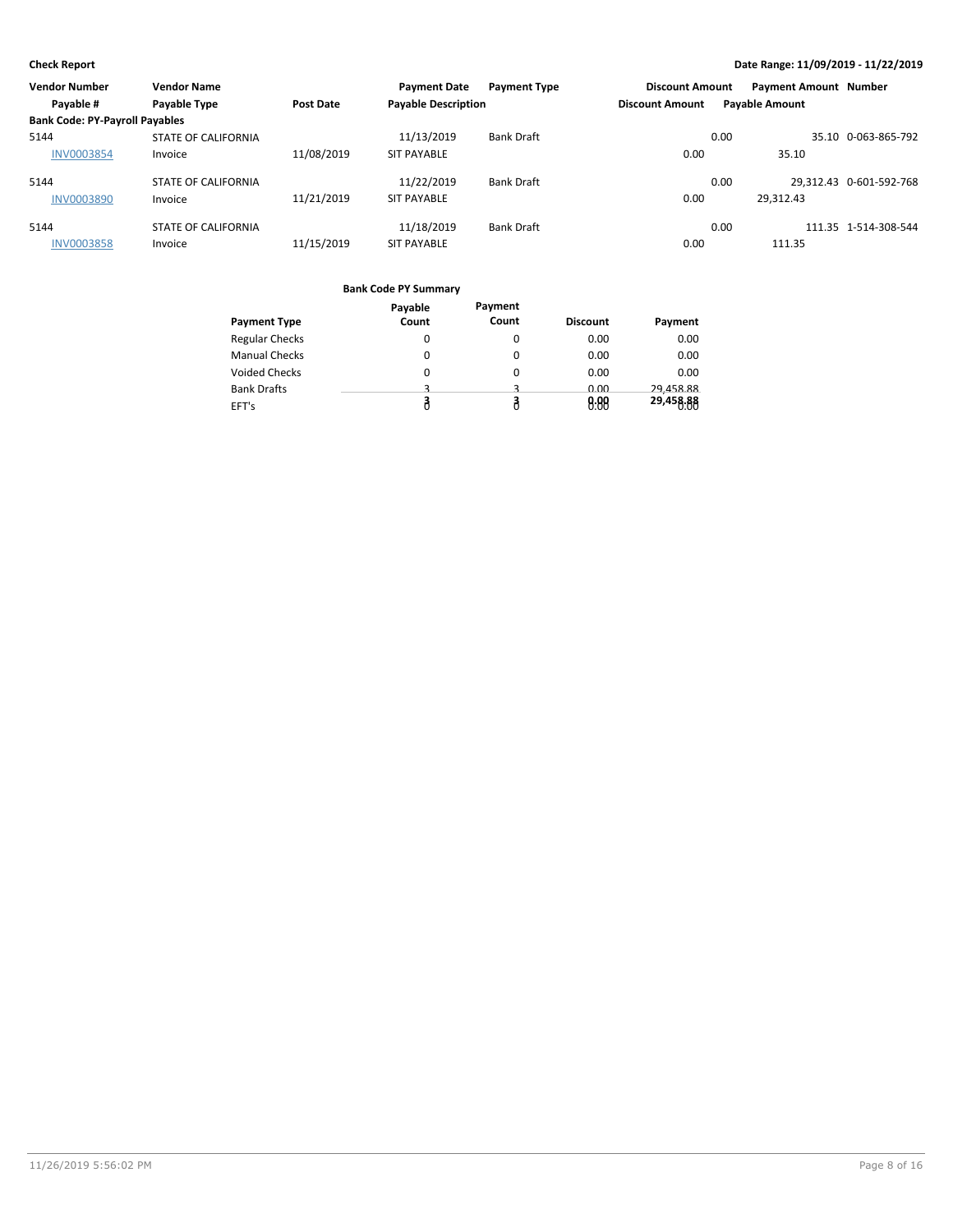| <b>Vendor Number</b>                  | <b>Vendor Name</b>         |                  | <b>Payment Date</b>        | <b>Payment Type</b> | <b>Discount Amount</b> |      | <b>Payment Amount Number</b> |                         |
|---------------------------------------|----------------------------|------------------|----------------------------|---------------------|------------------------|------|------------------------------|-------------------------|
| Payable #                             | Payable Type               | <b>Post Date</b> | <b>Payable Description</b> |                     | <b>Discount Amount</b> |      | <b>Payable Amount</b>        |                         |
| <b>Bank Code: PY-Payroll Payables</b> |                            |                  |                            |                     |                        |      |                              |                         |
| 5144                                  | <b>STATE OF CALIFORNIA</b> |                  | 11/13/2019                 | <b>Bank Draft</b>   |                        | 0.00 |                              | 35.10 0-063-865-792     |
| <b>INV0003854</b>                     | Invoice                    | 11/08/2019       | <b>SIT PAYABLE</b>         |                     | 0.00                   |      | 35.10                        |                         |
| 5144                                  | <b>STATE OF CALIFORNIA</b> |                  | 11/22/2019                 | <b>Bank Draft</b>   |                        | 0.00 |                              | 29,312.43 0-601-592-768 |
| <b>INV0003890</b>                     | Invoice                    | 11/21/2019       | <b>SIT PAYABLE</b>         |                     | 0.00                   |      | 29.312.43                    |                         |
| 5144                                  | <b>STATE OF CALIFORNIA</b> |                  | 11/18/2019                 | <b>Bank Draft</b>   |                        | 0.00 |                              | 111.35 1-514-308-544    |
| <b>INV0003858</b>                     | Invoice                    | 11/15/2019       | <b>SIT PAYABLE</b>         |                     | 0.00                   |      | 111.35                       |                         |

|                       | Payable | Payment |                 |           |
|-----------------------|---------|---------|-----------------|-----------|
| <b>Payment Type</b>   | Count   | Count   | <b>Discount</b> | Payment   |
| <b>Regular Checks</b> | 0       | 0       | 0.00            | 0.00      |
| <b>Manual Checks</b>  | 0       |         | 0.00            | 0.00      |
| <b>Voided Checks</b>  | 0       |         | 0.00            | 0.00      |
| <b>Bank Drafts</b>    | ٩       |         | 0.00            | 29.458.88 |
| EFT's                 |         |         | 0.88            | 29,458.88 |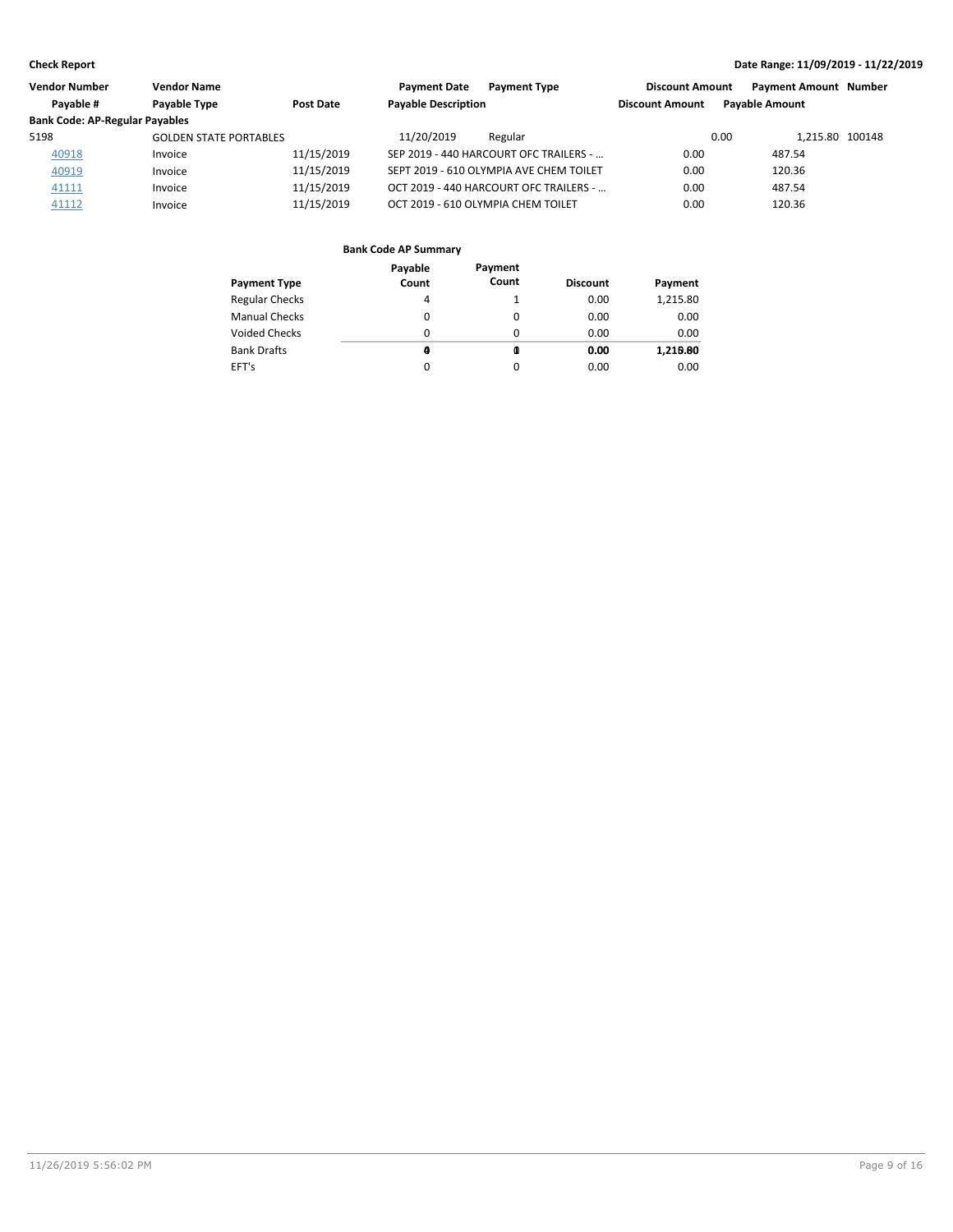| <b>Vendor Number</b>                  | <b>Vendor Name</b>            |            | <b>Payment Date</b><br><b>Payment Type</b> | <b>Discount Amount</b> | <b>Payment Amount Number</b> |  |
|---------------------------------------|-------------------------------|------------|--------------------------------------------|------------------------|------------------------------|--|
| Payable #                             | Payable Type                  | Post Date  | <b>Payable Description</b>                 | <b>Discount Amount</b> | <b>Pavable Amount</b>        |  |
| <b>Bank Code: AP-Regular Payables</b> |                               |            |                                            |                        |                              |  |
| 5198                                  | <b>GOLDEN STATE PORTABLES</b> |            | 11/20/2019<br>Regular                      |                        | 0.00<br>1.215.80 100148      |  |
| 40918                                 | Invoice                       | 11/15/2019 | SEP 2019 - 440 HARCOURT OFC TRAILERS -     | 0.00                   | 487.54                       |  |
| 40919                                 | Invoice                       | 11/15/2019 | SEPT 2019 - 610 OLYMPIA AVE CHEM TOILET    | 0.00                   | 120.36                       |  |
| 41111                                 | Invoice                       | 11/15/2019 | OCT 2019 - 440 HARCOURT OFC TRAILERS -     | 0.00                   | 487.54                       |  |
| 41112                                 | Invoice                       | 11/15/2019 | OCT 2019 - 610 OLYMPIA CHEM TOILET         | 0.00                   | 120.36                       |  |

| <b>Payment Type</b>   | Payable<br>Count | Payment<br>Count | <b>Discount</b> | Payment  |
|-----------------------|------------------|------------------|-----------------|----------|
| <b>Regular Checks</b> | 4                |                  | 0.00            | 1,215.80 |
| <b>Manual Checks</b>  | 0                | 0                | 0.00            | 0.00     |
| <b>Voided Checks</b>  | $\Omega$         | $\Omega$         | 0.00            | 0.00     |
| <b>Bank Drafts</b>    | a                | 0                | 0.00            | 1,219.80 |
| EFT's                 | 0                | 0                | 0.00            | 0.00     |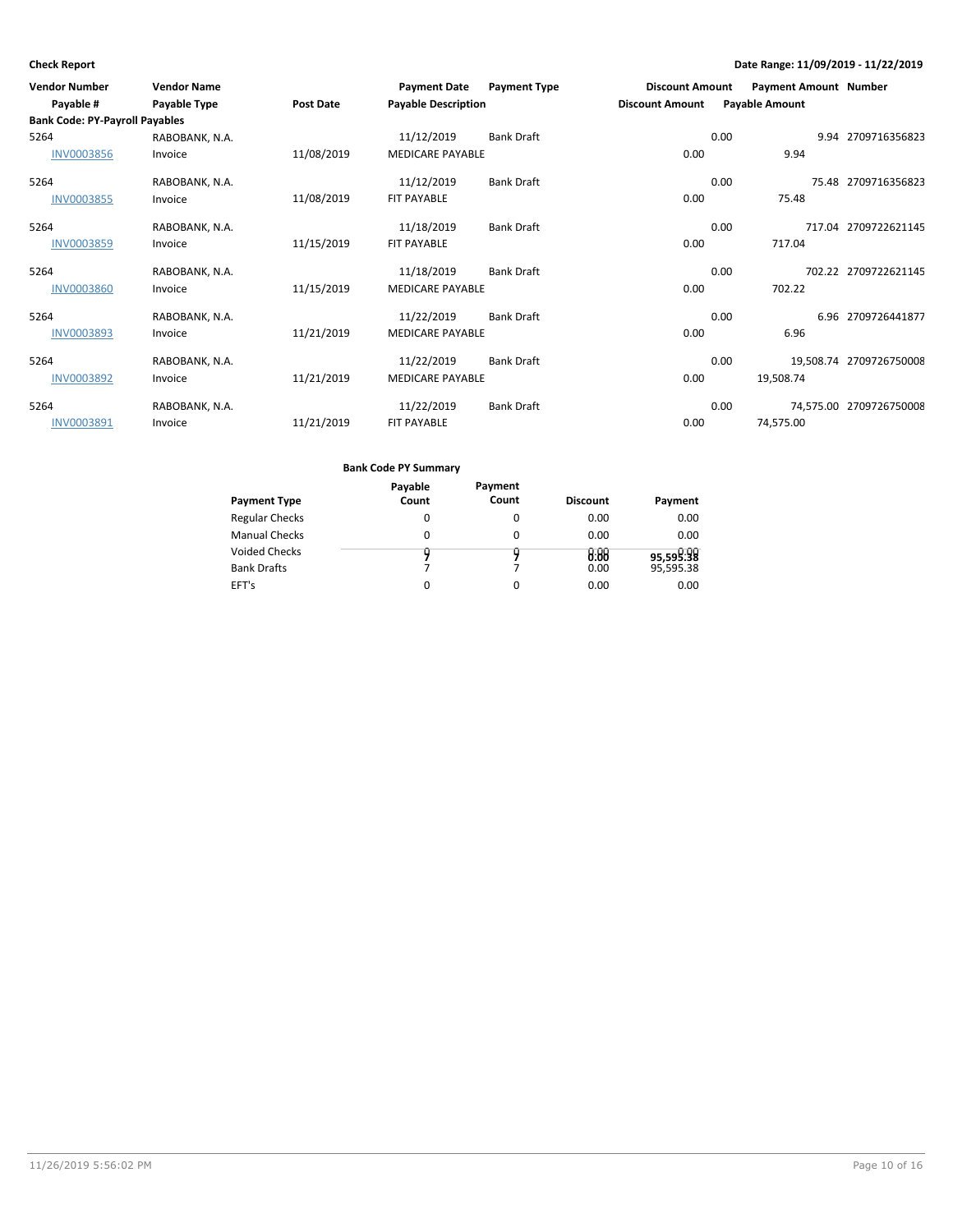| <b>Vendor Number</b>                               | <b>Vendor Name</b> |            | <b>Payment Date</b>        | <b>Payment Type</b> | <b>Discount Amount</b> | <b>Payment Amount Number</b> |                         |
|----------------------------------------------------|--------------------|------------|----------------------------|---------------------|------------------------|------------------------------|-------------------------|
| Payable #<br><b>Bank Code: PY-Payroll Payables</b> | Payable Type       | Post Date  | <b>Payable Description</b> |                     | <b>Discount Amount</b> | <b>Payable Amount</b>        |                         |
|                                                    |                    |            |                            |                     |                        |                              |                         |
| 5264                                               | RABOBANK, N.A.     |            | 11/12/2019                 | Bank Draft          |                        | 0.00                         | 9.94 2709716356823      |
| <b>INV0003856</b>                                  | Invoice            | 11/08/2019 | <b>MEDICARE PAYABLE</b>    |                     | 0.00                   | 9.94                         |                         |
| 5264                                               | RABOBANK, N.A.     |            | 11/12/2019                 | <b>Bank Draft</b>   |                        | 0.00                         | 75.48 2709716356823     |
| <b>INV0003855</b>                                  | Invoice            | 11/08/2019 | <b>FIT PAYABLE</b>         |                     | 0.00                   | 75.48                        |                         |
| 5264                                               | RABOBANK, N.A.     |            | 11/18/2019                 | <b>Bank Draft</b>   |                        | 0.00                         | 717.04 2709722621145    |
| INV0003859                                         | Invoice            | 11/15/2019 | <b>FIT PAYABLE</b>         |                     | 0.00                   | 717.04                       |                         |
| 5264                                               | RABOBANK, N.A.     |            | 11/18/2019                 | <b>Bank Draft</b>   |                        | 0.00                         | 702.22 2709722621145    |
| <b>INV0003860</b>                                  | Invoice            | 11/15/2019 | <b>MEDICARE PAYABLE</b>    |                     | 0.00                   | 702.22                       |                         |
| 5264                                               | RABOBANK, N.A.     |            | 11/22/2019                 | <b>Bank Draft</b>   |                        | 0.00                         | 6.96 2709726441877      |
| INV0003893                                         | Invoice            | 11/21/2019 | <b>MEDICARE PAYABLE</b>    |                     | 0.00                   | 6.96                         |                         |
| 5264                                               | RABOBANK, N.A.     |            | 11/22/2019                 | <b>Bank Draft</b>   |                        | 0.00                         | 19,508.74 2709726750008 |
| <b>INV0003892</b>                                  | Invoice            | 11/21/2019 | <b>MEDICARE PAYABLE</b>    |                     | 0.00                   | 19,508.74                    |                         |
| 5264                                               | RABOBANK, N.A.     |            | 11/22/2019                 | <b>Bank Draft</b>   |                        | 0.00                         | 74,575.00 2709726750008 |
| INV0003891                                         | Invoice            | 11/21/2019 | <b>FIT PAYABLE</b>         |                     | 0.00                   | 74,575.00                    |                         |

| Payment Type                        | Payable<br>Count | Payment<br>Count | <b>Discount</b> | Payment                |  |  |
|-------------------------------------|------------------|------------------|-----------------|------------------------|--|--|
| <b>Regular Checks</b>               | 0                | 0                | 0.00            | 0.00                   |  |  |
| <b>Manual Checks</b>                | 0                | 0                | 0.00            | 0.00                   |  |  |
| <b>Voided Checks</b><br>Bank Drafts | u                | y                | 0.00<br>0.00    | 95,599:98<br>95,595.38 |  |  |
| EFT's                               | $\Omega$         | 0                | 0.00            | 0.00                   |  |  |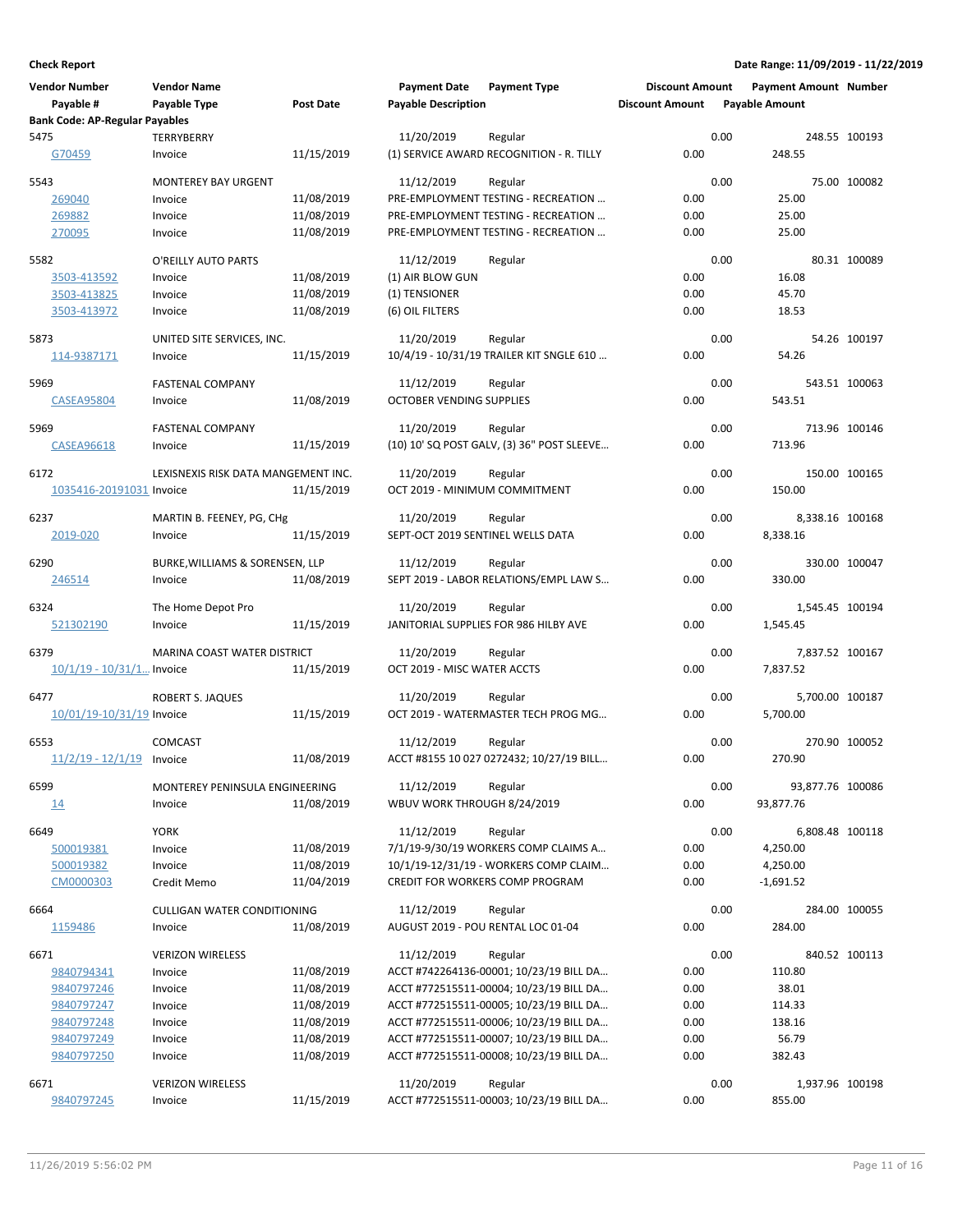|      | <b>Vendor Number</b><br>Payable #     | <b>Vendor Name</b><br>Payable Type  | <b>Post Date</b>         | <b>Payment Date</b><br><b>Payable Description</b> | <b>Payment Type</b>                                                           | <b>Discount Amount</b><br><b>Discount Amount</b> |      | <b>Payment Amount Number</b><br><b>Payable Amount</b> |               |
|------|---------------------------------------|-------------------------------------|--------------------------|---------------------------------------------------|-------------------------------------------------------------------------------|--------------------------------------------------|------|-------------------------------------------------------|---------------|
| 5475 | <b>Bank Code: AP-Regular Payables</b> | TERRYBERRY                          |                          | 11/20/2019                                        |                                                                               |                                                  | 0.00 |                                                       | 248.55 100193 |
|      | G70459                                | Invoice                             | 11/15/2019               |                                                   | Regular<br>(1) SERVICE AWARD RECOGNITION - R. TILLY                           | 0.00                                             |      | 248.55                                                |               |
|      |                                       |                                     |                          |                                                   |                                                                               |                                                  |      |                                                       |               |
| 5543 |                                       | <b>MONTEREY BAY URGENT</b>          |                          | 11/12/2019                                        | Regular                                                                       |                                                  | 0.00 |                                                       | 75.00 100082  |
|      | 269040                                | Invoice                             | 11/08/2019               |                                                   | PRE-EMPLOYMENT TESTING - RECREATION                                           | 0.00                                             |      | 25.00                                                 |               |
|      | 269882<br>270095                      | Invoice<br>Invoice                  | 11/08/2019<br>11/08/2019 |                                                   | PRE-EMPLOYMENT TESTING - RECREATION<br>PRE-EMPLOYMENT TESTING - RECREATION    | 0.00<br>0.00                                     |      | 25.00<br>25.00                                        |               |
|      |                                       |                                     |                          |                                                   |                                                                               |                                                  |      |                                                       |               |
| 5582 |                                       | O'REILLY AUTO PARTS                 |                          | 11/12/2019                                        | Regular                                                                       |                                                  | 0.00 |                                                       | 80.31 100089  |
|      | 3503-413592                           | Invoice                             | 11/08/2019               | (1) AIR BLOW GUN                                  |                                                                               | 0.00                                             |      | 16.08                                                 |               |
|      | 3503-413825                           | Invoice                             | 11/08/2019               | (1) TENSIONER                                     |                                                                               | 0.00                                             |      | 45.70                                                 |               |
|      | 3503-413972                           | Invoice                             | 11/08/2019               | (6) OIL FILTERS                                   |                                                                               | 0.00                                             |      | 18.53                                                 |               |
| 5873 |                                       | UNITED SITE SERVICES, INC.          |                          | 11/20/2019                                        | Regular                                                                       |                                                  | 0.00 |                                                       | 54.26 100197  |
|      | 114-9387171                           | Invoice                             | 11/15/2019               |                                                   | 10/4/19 - 10/31/19 TRAILER KIT SNGLE 610                                      | 0.00                                             |      | 54.26                                                 |               |
|      |                                       |                                     |                          |                                                   |                                                                               |                                                  |      |                                                       |               |
| 5969 |                                       | <b>FASTENAL COMPANY</b>             | 11/08/2019               | 11/12/2019<br><b>OCTOBER VENDING SUPPLIES</b>     | Regular                                                                       | 0.00                                             | 0.00 | 543.51                                                | 543.51 100063 |
|      | <b>CASEA95804</b>                     | Invoice                             |                          |                                                   |                                                                               |                                                  |      |                                                       |               |
| 5969 |                                       | <b>FASTENAL COMPANY</b>             |                          | 11/20/2019                                        | Regular                                                                       |                                                  | 0.00 |                                                       | 713.96 100146 |
|      | CASEA96618                            | Invoice                             | 11/15/2019               |                                                   | (10) 10' SQ POST GALV, (3) 36" POST SLEEVE                                    | 0.00                                             |      | 713.96                                                |               |
| 6172 |                                       | LEXISNEXIS RISK DATA MANGEMENT INC. |                          | 11/20/2019                                        | Regular                                                                       |                                                  | 0.00 |                                                       | 150.00 100165 |
|      | 1035416-20191031 Invoice              |                                     | 11/15/2019               | OCT 2019 - MINIMUM COMMITMENT                     |                                                                               | 0.00                                             |      | 150.00                                                |               |
|      |                                       |                                     |                          |                                                   |                                                                               |                                                  |      |                                                       |               |
| 6237 |                                       | MARTIN B. FEENEY, PG, CHg           |                          | 11/20/2019                                        | Regular                                                                       |                                                  | 0.00 | 8,338.16 100168                                       |               |
|      | 2019-020                              | Invoice                             | 11/15/2019               | SEPT-OCT 2019 SENTINEL WELLS DATA                 |                                                                               | 0.00                                             |      | 8,338.16                                              |               |
| 6290 |                                       | BURKE, WILLIAMS & SORENSEN, LLP     |                          | 11/12/2019                                        | Regular                                                                       |                                                  | 0.00 |                                                       | 330.00 100047 |
|      | 246514                                | Invoice                             | 11/08/2019               |                                                   | SEPT 2019 - LABOR RELATIONS/EMPL LAW S                                        | 0.00                                             |      | 330.00                                                |               |
|      |                                       |                                     |                          |                                                   |                                                                               |                                                  |      |                                                       |               |
| 6324 |                                       | The Home Depot Pro                  |                          | 11/20/2019                                        | Regular                                                                       |                                                  | 0.00 | 1,545.45 100194                                       |               |
|      | 521302190                             | Invoice                             | 11/15/2019               |                                                   | JANITORIAL SUPPLIES FOR 986 HILBY AVE                                         | 0.00                                             |      | 1,545.45                                              |               |
| 6379 |                                       | MARINA COAST WATER DISTRICT         |                          | 11/20/2019                                        | Regular                                                                       |                                                  | 0.00 | 7,837.52 100167                                       |               |
|      | $10/1/19 - 10/31/1$ Invoice           |                                     | 11/15/2019               | OCT 2019 - MISC WATER ACCTS                       |                                                                               | 0.00                                             |      | 7,837.52                                              |               |
| 6477 |                                       | ROBERT S. JAQUES                    |                          | 11/20/2019                                        | Regular                                                                       |                                                  | 0.00 | 5,700.00 100187                                       |               |
|      | 10/01/19-10/31/19 Invoice             |                                     | 11/15/2019               |                                                   | OCT 2019 - WATERMASTER TECH PROG MG                                           | 0.00                                             |      | 5,700.00                                              |               |
|      |                                       |                                     |                          |                                                   |                                                                               |                                                  |      |                                                       |               |
| 6553 |                                       | <b>COMCAST</b>                      |                          | 11/12/2019                                        | Regular                                                                       |                                                  | 0.00 |                                                       | 270.90 100052 |
|      | $11/2/19 - 12/1/19$ Invoice           |                                     | 11/08/2019               |                                                   | ACCT #8155 10 027 0272432; 10/27/19 BILL                                      | 0.00                                             |      | 270.90                                                |               |
| 6599 |                                       | MONTEREY PENINSULA ENGINEERING      |                          | 11/12/2019                                        | Regular                                                                       |                                                  | 0.00 | 93,877.76 100086                                      |               |
|      | 14                                    | Invoice                             | 11/08/2019               | WBUV WORK THROUGH 8/24/2019                       |                                                                               | 0.00                                             |      | 93,877.76                                             |               |
|      |                                       |                                     |                          |                                                   |                                                                               |                                                  |      |                                                       |               |
| 6649 |                                       | <b>YORK</b>                         |                          | 11/12/2019                                        | Regular                                                                       |                                                  | 0.00 | 6,808.48 100118                                       |               |
|      | 500019381<br>500019382                | Invoice<br>Invoice                  | 11/08/2019<br>11/08/2019 |                                                   | 7/1/19-9/30/19 WORKERS COMP CLAIMS A<br>10/1/19-12/31/19 - WORKERS COMP CLAIM | 0.00<br>0.00                                     |      | 4,250.00<br>4,250.00                                  |               |
|      | CM0000303                             | Credit Memo                         | 11/04/2019               |                                                   | CREDIT FOR WORKERS COMP PROGRAM                                               | 0.00                                             |      | $-1,691.52$                                           |               |
|      |                                       |                                     |                          |                                                   |                                                                               |                                                  |      |                                                       |               |
| 6664 |                                       | <b>CULLIGAN WATER CONDITIONING</b>  |                          | 11/12/2019                                        | Regular                                                                       |                                                  | 0.00 |                                                       | 284.00 100055 |
|      | 1159486                               | Invoice                             | 11/08/2019               |                                                   | AUGUST 2019 - POU RENTAL LOC 01-04                                            | 0.00                                             |      | 284.00                                                |               |
| 6671 |                                       | <b>VERIZON WIRELESS</b>             |                          | 11/12/2019                                        | Regular                                                                       |                                                  | 0.00 |                                                       | 840.52 100113 |
|      | 9840794341                            | Invoice                             | 11/08/2019               |                                                   | ACCT #742264136-00001; 10/23/19 BILL DA                                       | 0.00                                             |      | 110.80                                                |               |
|      | 9840797246                            | Invoice                             | 11/08/2019               |                                                   | ACCT #772515511-00004; 10/23/19 BILL DA                                       | 0.00                                             |      | 38.01                                                 |               |
|      | 9840797247                            | Invoice                             | 11/08/2019               |                                                   | ACCT #772515511-00005; 10/23/19 BILL DA                                       | 0.00                                             |      | 114.33                                                |               |
|      | 9840797248                            | Invoice                             | 11/08/2019               |                                                   | ACCT #772515511-00006; 10/23/19 BILL DA                                       | 0.00                                             |      | 138.16                                                |               |
|      | 9840797249                            | Invoice                             | 11/08/2019               |                                                   | ACCT #772515511-00007; 10/23/19 BILL DA                                       | 0.00                                             |      | 56.79                                                 |               |
|      | 9840797250                            | Invoice                             | 11/08/2019               |                                                   | ACCT #772515511-00008; 10/23/19 BILL DA                                       | 0.00                                             |      | 382.43                                                |               |
| 6671 |                                       | <b>VERIZON WIRELESS</b>             |                          | 11/20/2019                                        | Regular                                                                       |                                                  | 0.00 | 1,937.96 100198                                       |               |
|      | 9840797245                            | Invoice                             | 11/15/2019               |                                                   | ACCT #772515511-00003; 10/23/19 BILL DA                                       | 0.00                                             |      | 855.00                                                |               |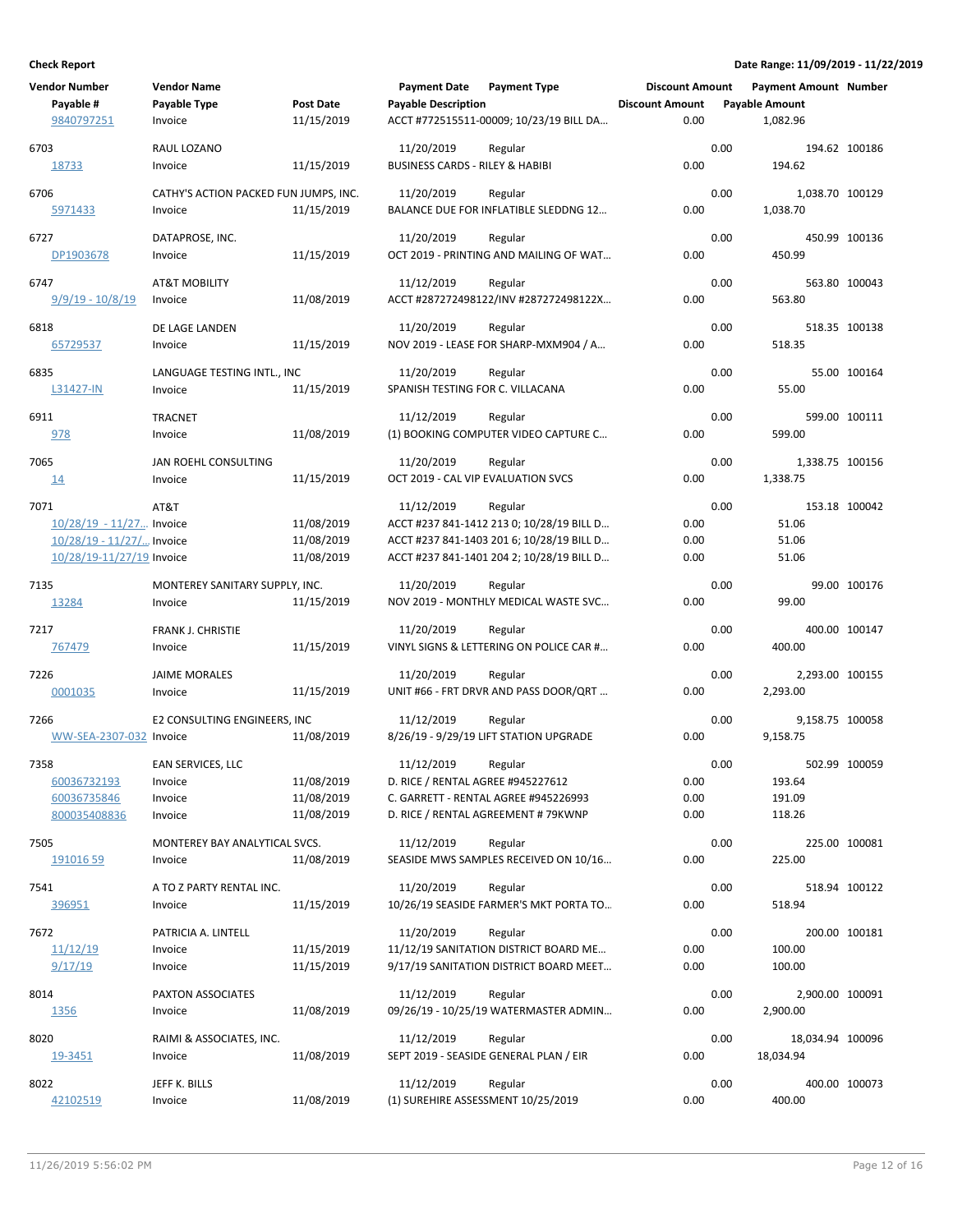| <b>Vendor Number</b><br>Payable # | <b>Vendor Name</b><br>Payable Type    | <b>Post Date</b> | <b>Payment Date</b><br><b>Payable Description</b> | <b>Payment Type</b>                              | <b>Discount Amount</b><br><b>Discount Amount</b> |      | <b>Payment Amount Number</b><br><b>Payable Amount</b> |               |
|-----------------------------------|---------------------------------------|------------------|---------------------------------------------------|--------------------------------------------------|--------------------------------------------------|------|-------------------------------------------------------|---------------|
| 9840797251                        | Invoice                               | 11/15/2019       |                                                   | ACCT #772515511-00009; 10/23/19 BILL DA          | 0.00                                             |      | 1,082.96                                              |               |
| 6703                              | RAUL LOZANO                           |                  | 11/20/2019                                        | Regular                                          |                                                  | 0.00 |                                                       | 194.62 100186 |
| 18733                             | Invoice                               | 11/15/2019       | <b>BUSINESS CARDS - RILEY &amp; HABIBI</b>        |                                                  | 0.00                                             |      | 194.62                                                |               |
|                                   |                                       |                  |                                                   |                                                  |                                                  |      |                                                       |               |
| 6706                              | CATHY'S ACTION PACKED FUN JUMPS, INC. |                  | 11/20/2019                                        | Regular                                          |                                                  | 0.00 | 1,038.70 100129                                       |               |
| 5971433                           | Invoice                               | 11/15/2019       |                                                   | BALANCE DUE FOR INFLATIBLE SLEDDNG 12            | 0.00                                             |      | 1,038.70                                              |               |
| 6727                              | DATAPROSE, INC.                       |                  | 11/20/2019                                        | Regular                                          |                                                  | 0.00 |                                                       | 450.99 100136 |
| DP1903678                         | Invoice                               | 11/15/2019       |                                                   | OCT 2019 - PRINTING AND MAILING OF WAT           | 0.00                                             |      | 450.99                                                |               |
|                                   |                                       |                  |                                                   |                                                  |                                                  |      |                                                       |               |
| 6747                              | AT&T MOBILITY                         |                  | 11/12/2019                                        | Regular                                          |                                                  | 0.00 | 563.80 100043                                         |               |
| $9/9/19 - 10/8/19$                | Invoice                               | 11/08/2019       |                                                   | ACCT #287272498122/INV #287272498122X            | 0.00                                             |      | 563.80                                                |               |
|                                   |                                       |                  |                                                   |                                                  |                                                  |      |                                                       |               |
| 6818                              | DE LAGE LANDEN                        | 11/15/2019       | 11/20/2019                                        | Regular<br>NOV 2019 - LEASE FOR SHARP-MXM904 / A | 0.00                                             | 0.00 | 518.35                                                | 518.35 100138 |
| 65729537                          | Invoice                               |                  |                                                   |                                                  |                                                  |      |                                                       |               |
| 6835                              | LANGUAGE TESTING INTL., INC           |                  | 11/20/2019                                        | Regular                                          |                                                  | 0.00 |                                                       | 55.00 100164  |
| L31427-IN                         | Invoice                               | 11/15/2019       | SPANISH TESTING FOR C. VILLACANA                  |                                                  | 0.00                                             |      | 55.00                                                 |               |
|                                   |                                       |                  |                                                   |                                                  |                                                  |      |                                                       |               |
| 6911                              | <b>TRACNET</b>                        |                  | 11/12/2019                                        | Regular                                          |                                                  | 0.00 |                                                       | 599.00 100111 |
| <u>978</u>                        | Invoice                               | 11/08/2019       |                                                   | (1) BOOKING COMPUTER VIDEO CAPTURE C             | 0.00                                             |      | 599.00                                                |               |
| 7065                              | JAN ROEHL CONSULTING                  |                  | 11/20/2019                                        | Regular                                          |                                                  | 0.00 | 1,338.75 100156                                       |               |
| 14                                | Invoice                               | 11/15/2019       | OCT 2019 - CAL VIP EVALUATION SVCS                |                                                  | 0.00                                             |      | 1,338.75                                              |               |
|                                   |                                       |                  |                                                   |                                                  |                                                  |      |                                                       |               |
| 7071                              | AT&T                                  |                  | 11/12/2019                                        | Regular                                          |                                                  | 0.00 |                                                       | 153.18 100042 |
| 10/28/19 - 11/27 Invoice          |                                       | 11/08/2019       |                                                   | ACCT #237 841-1412 213 0; 10/28/19 BILL D        | 0.00                                             |      | 51.06                                                 |               |
| 10/28/19 - 11/27/ Invoice         |                                       | 11/08/2019       |                                                   | ACCT #237 841-1403 201 6; 10/28/19 BILL D        | 0.00                                             |      | 51.06                                                 |               |
| 10/28/19-11/27/19 Invoice         |                                       | 11/08/2019       |                                                   | ACCT #237 841-1401 204 2; 10/28/19 BILL D        | 0.00                                             |      | 51.06                                                 |               |
| 7135                              | MONTEREY SANITARY SUPPLY, INC.        |                  | 11/20/2019                                        | Regular                                          |                                                  | 0.00 |                                                       | 99.00 100176  |
| 13284                             | Invoice                               | 11/15/2019       |                                                   | NOV 2019 - MONTHLY MEDICAL WASTE SVC             | 0.00                                             |      | 99.00                                                 |               |
|                                   |                                       |                  |                                                   |                                                  |                                                  |      |                                                       |               |
| 7217                              | FRANK J. CHRISTIE                     |                  | 11/20/2019                                        | Regular                                          |                                                  | 0.00 | 400.00 100147                                         |               |
| 767479                            | Invoice                               | 11/15/2019       |                                                   | VINYL SIGNS & LETTERING ON POLICE CAR #          | 0.00                                             |      | 400.00                                                |               |
| 7226                              | <b>JAIME MORALES</b>                  |                  | 11/20/2019                                        | Regular                                          |                                                  | 0.00 | 2,293.00 100155                                       |               |
| 0001035                           | Invoice                               | 11/15/2019       |                                                   | UNIT #66 - FRT DRVR AND PASS DOOR/QRT            | 0.00                                             |      | 2,293.00                                              |               |
|                                   |                                       |                  |                                                   |                                                  |                                                  |      |                                                       |               |
| 7266                              | E2 CONSULTING ENGINEERS, INC          |                  | 11/12/2019                                        | Regular                                          |                                                  | 0.00 | 9,158.75 100058                                       |               |
| WW-SEA-2307-032 Invoice           |                                       | 11/08/2019       |                                                   | 8/26/19 - 9/29/19 LIFT STATION UPGRADE           | 0.00                                             |      | 9,158.75                                              |               |
| 7358                              | EAN SERVICES, LLC                     |                  | 11/12/2019                                        | Regular                                          |                                                  | 0.00 |                                                       | 502.99 100059 |
| 60036732193                       | Invoice                               | 11/08/2019       | D. RICE / RENTAL AGREE #945227612                 |                                                  | 0.00                                             |      | 193.64                                                |               |
| 60036735846                       | Invoice                               | 11/08/2019       |                                                   | C. GARRETT - RENTAL AGREE #945226993             | 0.00                                             |      | 191.09                                                |               |
| 800035408836                      | Invoice                               | 11/08/2019       |                                                   | D. RICE / RENTAL AGREEMENT # 79KWNP              | 0.00                                             |      | 118.26                                                |               |
|                                   |                                       |                  |                                                   |                                                  |                                                  |      |                                                       |               |
| 7505                              | MONTEREY BAY ANALYTICAL SVCS.         |                  | 11/12/2019                                        | Regular                                          |                                                  | 0.00 |                                                       | 225.00 100081 |
| 191016 59                         | Invoice                               | 11/08/2019       |                                                   | SEASIDE MWS SAMPLES RECEIVED ON 10/16            | 0.00                                             |      | 225.00                                                |               |
| 7541                              | A TO Z PARTY RENTAL INC.              |                  | 11/20/2019                                        | Regular                                          |                                                  | 0.00 |                                                       | 518.94 100122 |
| 396951                            | Invoice                               | 11/15/2019       |                                                   | 10/26/19 SEASIDE FARMER'S MKT PORTA TO           | 0.00                                             |      | 518.94                                                |               |
|                                   |                                       |                  |                                                   |                                                  |                                                  |      |                                                       |               |
| 7672                              | PATRICIA A. LINTELL                   |                  | 11/20/2019                                        | Regular                                          |                                                  | 0.00 |                                                       | 200.00 100181 |
| 11/12/19                          | Invoice                               | 11/15/2019       |                                                   | 11/12/19 SANITATION DISTRICT BOARD ME            | 0.00                                             |      | 100.00                                                |               |
| 9/17/19                           | Invoice                               | 11/15/2019       |                                                   | 9/17/19 SANITATION DISTRICT BOARD MEET           | 0.00                                             |      | 100.00                                                |               |
| 8014                              | PAXTON ASSOCIATES                     |                  | 11/12/2019                                        | Regular                                          |                                                  | 0.00 | 2,900.00 100091                                       |               |
| 1356                              | Invoice                               | 11/08/2019       |                                                   | 09/26/19 - 10/25/19 WATERMASTER ADMIN            | 0.00                                             |      | 2,900.00                                              |               |
|                                   |                                       |                  |                                                   |                                                  |                                                  |      |                                                       |               |
| 8020                              | RAIMI & ASSOCIATES, INC.              |                  | 11/12/2019                                        | Regular                                          |                                                  | 0.00 | 18,034.94 100096                                      |               |
| 19-3451                           | Invoice                               | 11/08/2019       |                                                   | SEPT 2019 - SEASIDE GENERAL PLAN / EIR           | 0.00                                             |      | 18,034.94                                             |               |
|                                   |                                       |                  |                                                   |                                                  |                                                  |      |                                                       |               |
| 8022<br>42102519                  | JEFF K. BILLS<br>Invoice              | 11/08/2019       | 11/12/2019<br>(1) SUREHIRE ASSESSMENT 10/25/2019  | Regular                                          | 0.00                                             | 0.00 | 400.00                                                | 400.00 100073 |
|                                   |                                       |                  |                                                   |                                                  |                                                  |      |                                                       |               |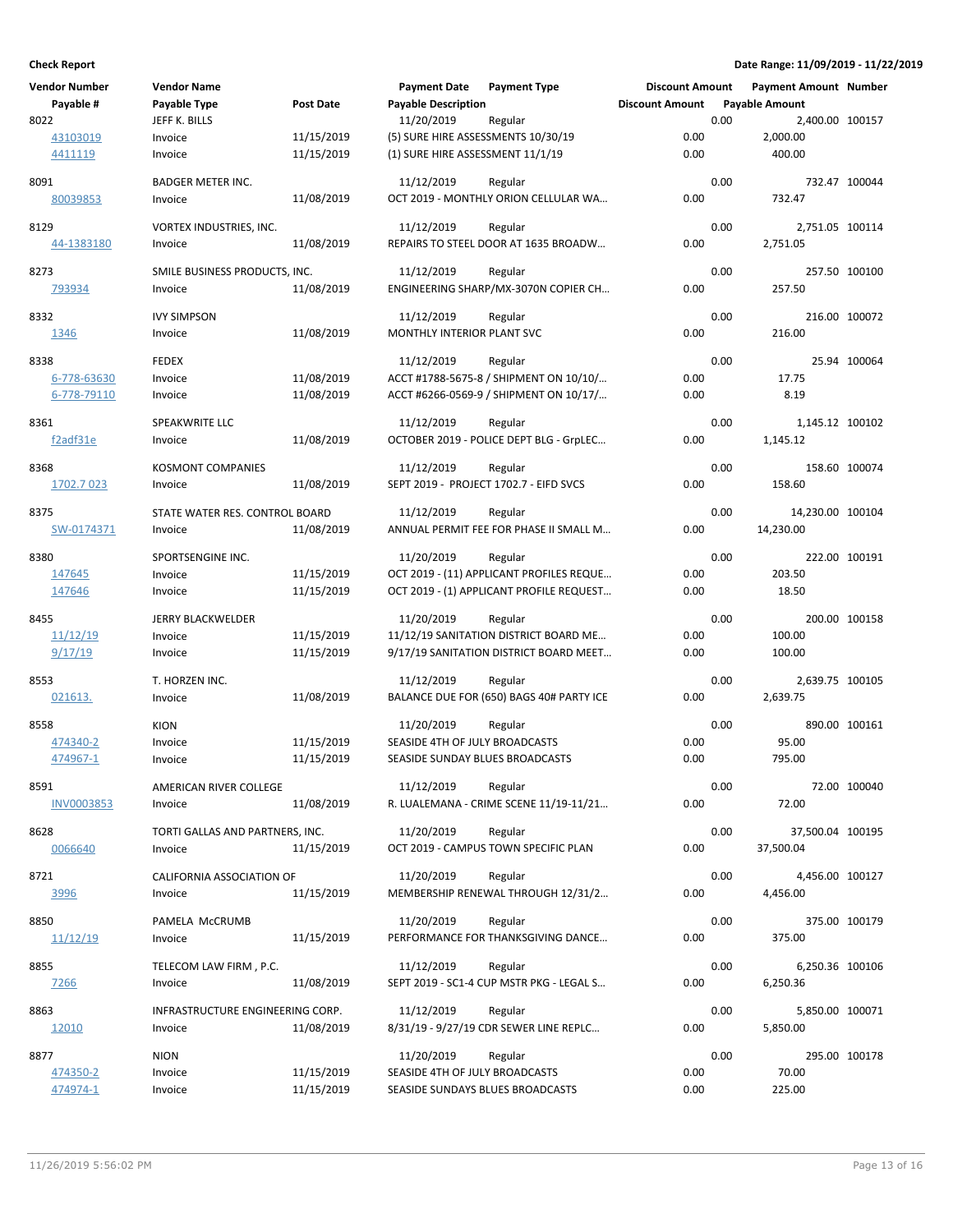| <b>Vendor Number</b>  | <b>Vendor Name</b>               |                  | <b>Payment Date</b>                | <b>Payment Type</b>                      | <b>Discount Amount</b> |      | <b>Payment Amount Number</b> |               |
|-----------------------|----------------------------------|------------------|------------------------------------|------------------------------------------|------------------------|------|------------------------------|---------------|
| Payable #             | Payable Type                     | <b>Post Date</b> | <b>Payable Description</b>         |                                          | <b>Discount Amount</b> |      | <b>Payable Amount</b>        |               |
| 8022                  | JEFF K. BILLS                    |                  | 11/20/2019                         | Regular                                  |                        | 0.00 | 2,400.00 100157              |               |
| 43103019              | Invoice                          | 11/15/2019       | (5) SURE HIRE ASSESSMENTS 10/30/19 |                                          | 0.00                   |      | 2,000.00                     |               |
| 4411119               | Invoice                          | 11/15/2019       | (1) SURE HIRE ASSESSMENT 11/1/19   |                                          | 0.00                   |      | 400.00                       |               |
|                       |                                  |                  |                                    |                                          |                        |      |                              |               |
| 8091                  | <b>BADGER METER INC.</b>         |                  | 11/12/2019                         | Regular                                  |                        | 0.00 | 732.47 100044                |               |
| 80039853              | Invoice                          | 11/08/2019       |                                    | OCT 2019 - MONTHLY ORION CELLULAR WA     | 0.00                   |      | 732.47                       |               |
|                       |                                  |                  |                                    |                                          |                        |      |                              |               |
| 8129                  | VORTEX INDUSTRIES, INC.          |                  | 11/12/2019                         | Regular                                  |                        | 0.00 | 2,751.05 100114              |               |
| 44-1383180            | Invoice                          | 11/08/2019       |                                    | REPAIRS TO STEEL DOOR AT 1635 BROADW     | 0.00                   |      | 2,751.05                     |               |
|                       |                                  |                  |                                    |                                          |                        |      |                              |               |
| 8273                  | SMILE BUSINESS PRODUCTS, INC.    |                  | 11/12/2019                         | Regular                                  |                        | 0.00 |                              | 257.50 100100 |
| 793934                | Invoice                          | 11/08/2019       |                                    | ENGINEERING SHARP/MX-3070N COPIER CH     | 0.00                   |      | 257.50                       |               |
|                       |                                  |                  |                                    |                                          |                        |      |                              |               |
| 8332                  | <b>IVY SIMPSON</b>               |                  | 11/12/2019                         | Regular                                  |                        | 0.00 |                              | 216.00 100072 |
| 1346                  | Invoice                          | 11/08/2019       | MONTHLY INTERIOR PLANT SVC         |                                          | 0.00                   |      | 216.00                       |               |
|                       |                                  |                  |                                    |                                          |                        |      |                              |               |
| 8338                  | <b>FEDEX</b>                     |                  | 11/12/2019                         | Regular                                  |                        | 0.00 |                              | 25.94 100064  |
| 6-778-63630           | Invoice                          | 11/08/2019       |                                    | ACCT #1788-5675-8 / SHIPMENT ON 10/10/   | 0.00                   |      | 17.75                        |               |
| 6-778-79110           | Invoice                          | 11/08/2019       |                                    | ACCT #6266-0569-9 / SHIPMENT ON 10/17/   | 0.00                   |      | 8.19                         |               |
|                       |                                  |                  |                                    |                                          |                        |      |                              |               |
| 8361                  | SPEAKWRITE LLC                   |                  | 11/12/2019                         | Regular                                  |                        | 0.00 | 1,145.12 100102              |               |
| f <sub>2</sub> adf31e | Invoice                          | 11/08/2019       |                                    | OCTOBER 2019 - POLICE DEPT BLG - GrpLEC  | 0.00                   |      | 1,145.12                     |               |
|                       |                                  |                  |                                    |                                          |                        |      |                              |               |
| 8368                  | <b>KOSMONT COMPANIES</b>         |                  | 11/12/2019                         | Regular                                  |                        | 0.00 | 158.60 100074                |               |
| 1702.7 023            | Invoice                          | 11/08/2019       |                                    | SEPT 2019 - PROJECT 1702.7 - EIFD SVCS   | 0.00                   |      | 158.60                       |               |
|                       |                                  |                  | 11/12/2019                         |                                          |                        |      |                              |               |
| 8375                  | STATE WATER RES. CONTROL BOARD   |                  |                                    | Regular                                  |                        | 0.00 | 14,230.00 100104             |               |
| SW-0174371            | Invoice                          | 11/08/2019       |                                    | ANNUAL PERMIT FEE FOR PHASE II SMALL M   | 0.00                   |      | 14,230.00                    |               |
| 8380                  | SPORTSENGINE INC.                |                  | 11/20/2019                         | Regular                                  |                        | 0.00 |                              | 222.00 100191 |
|                       |                                  |                  |                                    |                                          | 0.00                   |      | 203.50                       |               |
| 147645                | Invoice                          | 11/15/2019       |                                    | OCT 2019 - (11) APPLICANT PROFILES REQUE |                        |      |                              |               |
| 147646                | Invoice                          | 11/15/2019       |                                    | OCT 2019 - (1) APPLICANT PROFILE REQUEST | 0.00                   |      | 18.50                        |               |
| 8455                  | <b>JERRY BLACKWELDER</b>         |                  | 11/20/2019                         | Regular                                  |                        | 0.00 |                              | 200.00 100158 |
| 11/12/19              |                                  | 11/15/2019       |                                    | 11/12/19 SANITATION DISTRICT BOARD ME    | 0.00                   |      | 100.00                       |               |
|                       | Invoice                          |                  |                                    |                                          |                        |      |                              |               |
| 9/17/19               | Invoice                          | 11/15/2019       |                                    | 9/17/19 SANITATION DISTRICT BOARD MEET   | 0.00                   |      | 100.00                       |               |
| 8553                  | T. HORZEN INC.                   |                  | 11/12/2019                         | Regular                                  |                        | 0.00 | 2,639.75 100105              |               |
| 021613.               | Invoice                          | 11/08/2019       |                                    | BALANCE DUE FOR (650) BAGS 40# PARTY ICE | 0.00                   |      | 2,639.75                     |               |
|                       |                                  |                  |                                    |                                          |                        |      |                              |               |
| 8558                  | <b>KION</b>                      |                  | 11/20/2019                         | Regular                                  |                        | 0.00 |                              | 890.00 100161 |
| 474340-2              | Invoice                          | 11/15/2019       | SEASIDE 4TH OF JULY BROADCASTS     |                                          | 0.00                   |      | 95.00                        |               |
| 474967-1              | Invoice                          | 11/15/2019       | SEASIDE SUNDAY BLUES BROADCASTS    |                                          | 0.00                   |      | 795.00                       |               |
|                       |                                  |                  |                                    |                                          |                        |      |                              |               |
| 8591                  | AMERICAN RIVER COLLEGE           |                  | 11/12/2019                         | Regular                                  |                        | 0.00 |                              | 72.00 100040  |
| INV0003853            | Invoice                          | 11/08/2019       |                                    | R. LUALEMANA - CRIME SCENE 11/19-11/21   | 0.00                   |      | 72.00                        |               |
|                       |                                  |                  |                                    |                                          |                        |      |                              |               |
| 8628                  | TORTI GALLAS AND PARTNERS, INC.  |                  | 11/20/2019                         | Regular                                  |                        | 0.00 | 37,500.04 100195             |               |
| 0066640               | Invoice                          | 11/15/2019       |                                    | OCT 2019 - CAMPUS TOWN SPECIFIC PLAN     | 0.00                   |      | 37,500.04                    |               |
|                       |                                  |                  |                                    |                                          |                        |      |                              |               |
| 8721                  | CALIFORNIA ASSOCIATION OF        |                  | 11/20/2019                         | Regular                                  |                        | 0.00 | 4,456.00 100127              |               |
| 3996                  | Invoice                          | 11/15/2019       |                                    | MEMBERSHIP RENEWAL THROUGH 12/31/2       | 0.00                   |      | 4,456.00                     |               |
|                       |                                  |                  |                                    |                                          |                        |      |                              |               |
| 8850                  | PAMELA McCRUMB                   |                  | 11/20/2019                         | Regular                                  |                        | 0.00 | 375.00 100179                |               |
| <u>11/12/19</u>       | Invoice                          | 11/15/2019       |                                    | PERFORMANCE FOR THANKSGIVING DANCE       | 0.00                   |      | 375.00                       |               |
|                       |                                  |                  |                                    |                                          |                        |      |                              |               |
| 8855                  | TELECOM LAW FIRM, P.C.           |                  | 11/12/2019                         | Regular                                  |                        | 0.00 | 6,250.36 100106              |               |
| <u>7266</u>           | Invoice                          | 11/08/2019       |                                    | SEPT 2019 - SC1-4 CUP MSTR PKG - LEGAL S | 0.00                   |      | 6,250.36                     |               |
|                       |                                  |                  |                                    |                                          |                        |      |                              |               |
| 8863                  | INFRASTRUCTURE ENGINEERING CORP. |                  | 11/12/2019                         | Regular                                  |                        | 0.00 | 5,850.00 100071              |               |
| 12010                 | Invoice                          | 11/08/2019       |                                    | 8/31/19 - 9/27/19 CDR SEWER LINE REPLC   | 0.00                   |      | 5,850.00                     |               |
| 8877                  | <b>NION</b>                      |                  | 11/20/2019                         | Regular                                  |                        | 0.00 |                              | 295.00 100178 |
|                       |                                  |                  |                                    |                                          |                        |      |                              |               |
| 474350-2              | Invoice                          | 11/15/2019       | SEASIDE 4TH OF JULY BROADCASTS     |                                          | 0.00                   |      | 70.00                        |               |
| 474974-1              | Invoice                          | 11/15/2019       | SEASIDE SUNDAYS BLUES BROADCASTS   |                                          | 0.00                   |      | 225.00                       |               |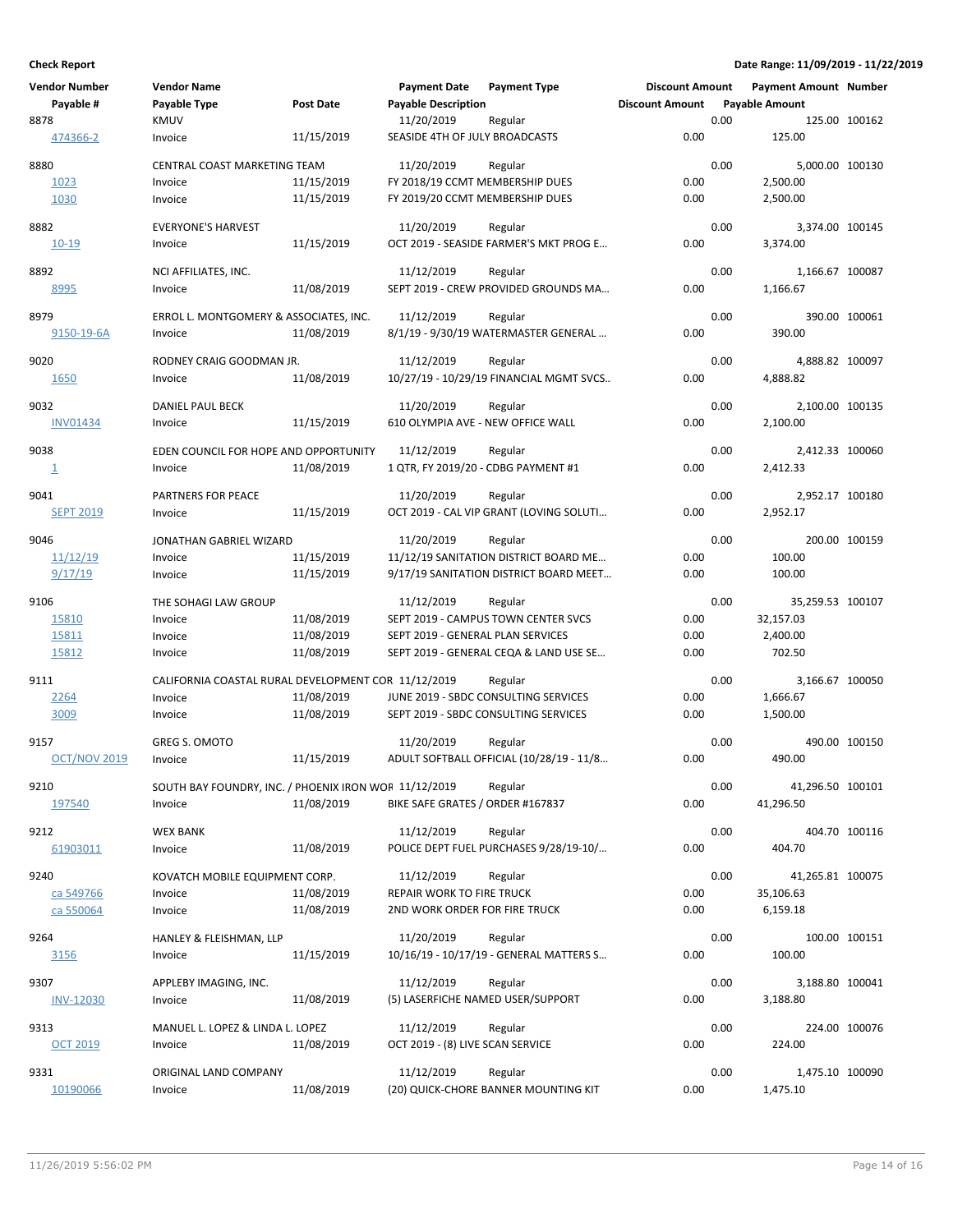| <b>Vendor Number</b>     | <b>Vendor Name</b>                                    |            | <b>Payment Date</b>                 | <b>Payment Type</b>                      | <b>Discount Amount</b> |      | <b>Payment Amount Number</b> |               |
|--------------------------|-------------------------------------------------------|------------|-------------------------------------|------------------------------------------|------------------------|------|------------------------------|---------------|
| Payable #                | Payable Type                                          | Post Date  | <b>Payable Description</b>          |                                          | <b>Discount Amount</b> |      | <b>Payable Amount</b>        |               |
| 8878                     | <b>KMUV</b>                                           |            | 11/20/2019                          | Regular                                  |                        | 0.00 | 125.00 100162                |               |
| 474366-2                 | Invoice                                               | 11/15/2019 | SEASIDE 4TH OF JULY BROADCASTS      |                                          | 0.00                   |      | 125.00                       |               |
| 8880                     | CENTRAL COAST MARKETING TEAM                          |            | 11/20/2019                          | Regular                                  |                        | 0.00 | 5,000.00 100130              |               |
| 1023                     | Invoice                                               | 11/15/2019 | FY 2018/19 CCMT MEMBERSHIP DUES     |                                          | 0.00                   |      | 2,500.00                     |               |
| 1030                     | Invoice                                               | 11/15/2019 | FY 2019/20 CCMT MEMBERSHIP DUES     |                                          | 0.00                   |      | 2,500.00                     |               |
|                          |                                                       |            |                                     |                                          |                        |      |                              |               |
| 8882                     | <b>EVERYONE'S HARVEST</b>                             |            | 11/20/2019                          | Regular                                  |                        | 0.00 | 3,374.00 100145              |               |
| 10-19                    | Invoice                                               | 11/15/2019 |                                     | OCT 2019 - SEASIDE FARMER'S MKT PROG E   | 0.00                   |      | 3,374.00                     |               |
|                          |                                                       |            |                                     |                                          |                        |      |                              |               |
| 8892                     | NCI AFFILIATES, INC.                                  |            | 11/12/2019                          | Regular                                  |                        | 0.00 | 1,166.67 100087              |               |
| 8995                     | Invoice                                               | 11/08/2019 |                                     | SEPT 2019 - CREW PROVIDED GROUNDS MA     | 0.00                   |      | 1,166.67                     |               |
| 8979                     | ERROL L. MONTGOMERY & ASSOCIATES, INC.                |            | 11/12/2019                          | Regular                                  |                        | 0.00 |                              | 390.00 100061 |
| 9150-19-6A               | Invoice                                               | 11/08/2019 |                                     | 8/1/19 - 9/30/19 WATERMASTER GENERAL     | 0.00                   |      | 390.00                       |               |
|                          |                                                       |            |                                     |                                          |                        |      |                              |               |
| 9020                     | RODNEY CRAIG GOODMAN JR.                              |            | 11/12/2019                          | Regular                                  |                        | 0.00 | 4,888.82 100097              |               |
| 1650                     | Invoice                                               | 11/08/2019 |                                     | 10/27/19 - 10/29/19 FINANCIAL MGMT SVCS  | 0.00                   |      | 4,888.82                     |               |
|                          |                                                       |            |                                     |                                          |                        |      |                              |               |
| 9032                     | DANIEL PAUL BECK                                      |            | 11/20/2019                          | Regular                                  |                        | 0.00 | 2,100.00 100135              |               |
| <b>INV01434</b>          | Invoice                                               | 11/15/2019 | 610 OLYMPIA AVE - NEW OFFICE WALL   |                                          | 0.00                   |      | 2,100.00                     |               |
|                          |                                                       |            |                                     |                                          |                        |      |                              |               |
| 9038                     | EDEN COUNCIL FOR HOPE AND OPPORTUNITY                 |            | 11/12/2019                          | Regular                                  |                        | 0.00 | 2,412.33 100060              |               |
| $\mathbf{\underline{1}}$ | Invoice                                               | 11/08/2019 | 1 QTR, FY 2019/20 - CDBG PAYMENT #1 |                                          | 0.00                   |      | 2,412.33                     |               |
| 9041                     | PARTNERS FOR PEACE                                    |            | 11/20/2019                          | Regular                                  |                        | 0.00 | 2,952.17 100180              |               |
| <b>SEPT 2019</b>         | Invoice                                               | 11/15/2019 |                                     | OCT 2019 - CAL VIP GRANT (LOVING SOLUTI  | 0.00                   |      | 2,952.17                     |               |
|                          |                                                       |            |                                     |                                          |                        |      |                              |               |
| 9046                     | JONATHAN GABRIEL WIZARD                               |            | 11/20/2019                          | Regular                                  |                        | 0.00 | 200.00 100159                |               |
| 11/12/19                 | Invoice                                               | 11/15/2019 |                                     | 11/12/19 SANITATION DISTRICT BOARD ME    | 0.00                   |      | 100.00                       |               |
| 9/17/19                  | Invoice                                               | 11/15/2019 |                                     | 9/17/19 SANITATION DISTRICT BOARD MEET   | 0.00                   |      | 100.00                       |               |
| 9106                     | THE SOHAGI LAW GROUP                                  |            | 11/12/2019                          | Regular                                  |                        | 0.00 | 35,259.53 100107             |               |
| 15810                    | Invoice                                               | 11/08/2019 |                                     | SEPT 2019 - CAMPUS TOWN CENTER SVCS      | 0.00                   |      | 32,157.03                    |               |
| 15811                    | Invoice                                               | 11/08/2019 | SEPT 2019 - GENERAL PLAN SERVICES   |                                          | 0.00                   |      | 2,400.00                     |               |
| 15812                    | Invoice                                               | 11/08/2019 |                                     | SEPT 2019 - GENERAL CEQA & LAND USE SE   | 0.00                   |      | 702.50                       |               |
|                          |                                                       |            |                                     |                                          |                        |      |                              |               |
| 9111                     | CALIFORNIA COASTAL RURAL DEVELOPMENT COR 11/12/2019   |            |                                     | Regular                                  |                        | 0.00 | 3,166.67 100050              |               |
| 2264                     | Invoice                                               | 11/08/2019 |                                     | JUNE 2019 - SBDC CONSULTING SERVICES     | 0.00                   |      | 1,666.67                     |               |
| 3009                     | Invoice                                               | 11/08/2019 |                                     | SEPT 2019 - SBDC CONSULTING SERVICES     | 0.00                   |      | 1,500.00                     |               |
|                          |                                                       |            |                                     |                                          |                        |      |                              |               |
| 9157                     | <b>GREG S. OMOTO</b>                                  |            | 11/20/2019                          | Regular                                  |                        | 0.00 |                              | 490.00 100150 |
| <b>OCT/NOV 2019</b>      | Invoice                                               | 11/15/2019 |                                     | ADULT SOFTBALL OFFICIAL (10/28/19 - 11/8 | 0.00                   |      | 490.00                       |               |
| 9210                     | SOUTH BAY FOUNDRY, INC. / PHOENIX IRON WOF 11/12/2019 |            |                                     | Regular                                  |                        | 0.00 | 41,296.50 100101             |               |
| 197540                   | Invoice                                               | 11/08/2019 | BIKE SAFE GRATES / ORDER #167837    |                                          | 0.00                   |      | 41,296.50                    |               |
|                          |                                                       |            |                                     |                                          |                        |      |                              |               |
| 9212                     | <b>WEX BANK</b>                                       |            | 11/12/2019                          | Regular                                  |                        | 0.00 | 404.70 100116                |               |
| 61903011                 | Invoice                                               | 11/08/2019 |                                     | POLICE DEPT FUEL PURCHASES 9/28/19-10/   | 0.00                   |      | 404.70                       |               |
|                          |                                                       |            |                                     |                                          |                        |      |                              |               |
| 9240                     | KOVATCH MOBILE EQUIPMENT CORP.                        |            | 11/12/2019                          | Regular                                  |                        | 0.00 | 41,265.81 100075             |               |
| ca 549766                | Invoice                                               | 11/08/2019 | REPAIR WORK TO FIRE TRUCK           |                                          | 0.00                   |      | 35,106.63                    |               |
| ca 550064                | Invoice                                               | 11/08/2019 | 2ND WORK ORDER FOR FIRE TRUCK       |                                          | 0.00                   |      | 6,159.18                     |               |
| 9264                     | HANLEY & FLEISHMAN, LLP                               |            | 11/20/2019                          | Regular                                  |                        | 0.00 |                              | 100.00 100151 |
| 3156                     | Invoice                                               | 11/15/2019 |                                     | 10/16/19 - 10/17/19 - GENERAL MATTERS S  | 0.00                   |      | 100.00                       |               |
|                          |                                                       |            |                                     |                                          |                        |      |                              |               |
| 9307                     | APPLEBY IMAGING, INC.                                 |            | 11/12/2019                          | Regular                                  |                        | 0.00 | 3,188.80 100041              |               |
| <b>INV-12030</b>         | Invoice                                               | 11/08/2019 | (5) LASERFICHE NAMED USER/SUPPORT   |                                          | 0.00                   |      | 3,188.80                     |               |
|                          |                                                       |            |                                     |                                          |                        |      |                              |               |
| 9313                     | MANUEL L. LOPEZ & LINDA L. LOPEZ                      |            | 11/12/2019                          | Regular                                  |                        | 0.00 | 224.00 100076                |               |
| OCT 2019                 | Invoice                                               | 11/08/2019 | OCT 2019 - (8) LIVE SCAN SERVICE    |                                          | 0.00                   |      | 224.00                       |               |
| 9331                     | ORIGINAL LAND COMPANY                                 |            | 11/12/2019                          | Regular                                  |                        | 0.00 | 1,475.10 100090              |               |
| 10190066                 | Invoice                                               | 11/08/2019 |                                     | (20) QUICK-CHORE BANNER MOUNTING KIT     | 0.00                   |      | 1,475.10                     |               |
|                          |                                                       |            |                                     |                                          |                        |      |                              |               |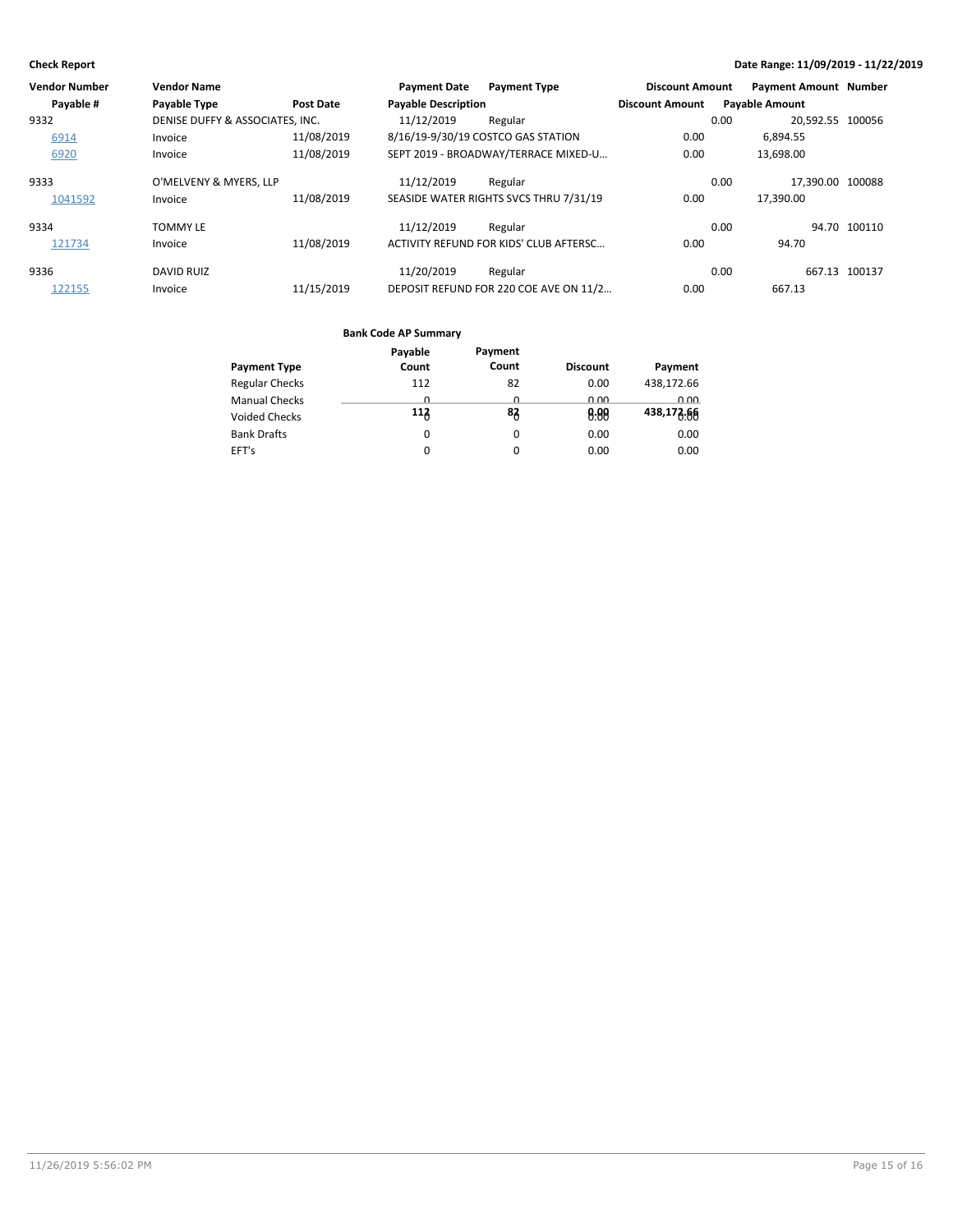| Vendor Number | <b>Vendor Name</b>              |                  | <b>Payment Date</b>        | <b>Payment Type</b>                    | <b>Discount Amount</b> | <b>Payment Amount Number</b> |               |
|---------------|---------------------------------|------------------|----------------------------|----------------------------------------|------------------------|------------------------------|---------------|
| Payable #     | Payable Type                    | <b>Post Date</b> | <b>Payable Description</b> |                                        | <b>Discount Amount</b> | <b>Payable Amount</b>        |               |
| 9332          | DENISE DUFFY & ASSOCIATES. INC. |                  | 11/12/2019                 | Regular                                |                        | 20.592.55 100056<br>0.00     |               |
| 6914          | Invoice                         | 11/08/2019       |                            | 8/16/19-9/30/19 COSTCO GAS STATION     | 0.00                   | 6.894.55                     |               |
| 6920          | Invoice                         | 11/08/2019       |                            | SEPT 2019 - BROADWAY/TERRACE MIXED-U   | 0.00                   | 13,698.00                    |               |
| 9333          | O'MELVENY & MYERS, LLP          |                  | 11/12/2019                 | Regular                                |                        | 17.390.00 100088<br>0.00     |               |
| 1041592       | Invoice                         | 11/08/2019       |                            | SEASIDE WATER RIGHTS SVCS THRU 7/31/19 | 0.00                   | 17.390.00                    |               |
| 9334          | <b>TOMMY LE</b>                 |                  | 11/12/2019                 | Regular                                |                        | 0.00                         | 94.70 100110  |
| 121734        | Invoice                         | 11/08/2019       |                            | ACTIVITY REFUND FOR KIDS' CLUB AFTERSC | 0.00                   | 94.70                        |               |
| 9336          | <b>DAVID RUIZ</b>               |                  | 11/20/2019                 | Regular                                |                        | 0.00                         | 667.13 100137 |
| 122155        | Invoice                         | 11/15/2019       |                            | DEPOSIT REFUND FOR 220 COE AVE ON 11/2 | 0.00                   | 667.13                       |               |

|                       | Payable  | Payment |                 |            |
|-----------------------|----------|---------|-----------------|------------|
| <b>Payment Type</b>   | Count    | Count   | <b>Discount</b> | Payment    |
| <b>Regular Checks</b> | 112      | 82      | 0.00            | 438,172.66 |
| <b>Manual Checks</b>  | <u>n</u> | n       | 0.00            | 0.00       |
| Voided Checks         | 113      | 83      | 0.00            | 438,173.66 |
| <b>Bank Drafts</b>    | 0        | 0       | 0.00            | 0.00       |
| EFT's                 | 0        |         | 0.00            | 0.00       |